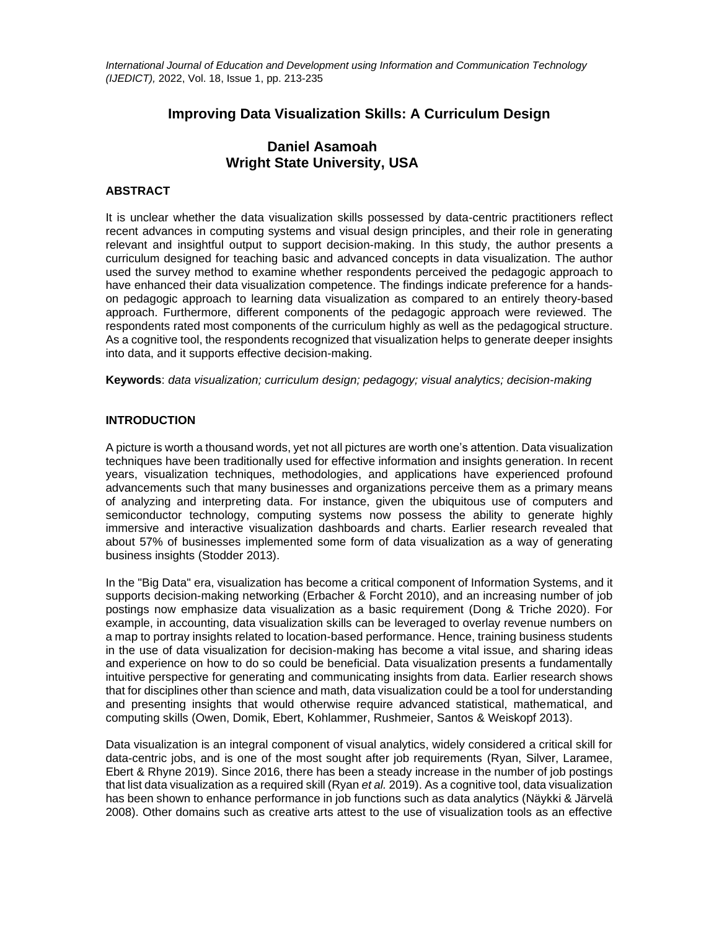*International Journal of Education and Development using Information and Communication Technology (IJEDICT),* 2022, Vol. 18, Issue 1, pp. 213-235

# **Improving Data Visualization Skills: A Curriculum Design**

# **Daniel Asamoah Wright State University, USA**

### **ABSTRACT**

It is unclear whether the data visualization skills possessed by data-centric practitioners reflect recent advances in computing systems and visual design principles, and their role in generating relevant and insightful output to support decision-making. In this study, the author presents a curriculum designed for teaching basic and advanced concepts in data visualization. The author used the survey method to examine whether respondents perceived the pedagogic approach to have enhanced their data visualization competence. The findings indicate preference for a handson pedagogic approach to learning data visualization as compared to an entirely theory-based approach. Furthermore, different components of the pedagogic approach were reviewed. The respondents rated most components of the curriculum highly as well as the pedagogical structure. As a cognitive tool, the respondents recognized that visualization helps to generate deeper insights into data, and it supports effective decision-making.

**Keywords**: *data visualization; curriculum design; pedagogy; visual analytics; decision-making*

### **INTRODUCTION**

A picture is worth a thousand words, yet not all pictures are worth one's attention. Data visualization techniques have been traditionally used for effective information and insights generation. In recent years, visualization techniques, methodologies, and applications have experienced profound advancements such that many businesses and organizations perceive them as a primary means of analyzing and interpreting data. For instance, given the ubiquitous use of computers and semiconductor technology, computing systems now possess the ability to generate highly immersive and interactive visualization dashboards and charts. Earlier research revealed that about 57% of businesses implemented some form of data visualization as a way of generating business insights (Stodder 2013).

In the "Big Data" era, visualization has become a critical component of Information Systems, and it supports decision-making networking (Erbacher & Forcht 2010), and an increasing number of job postings now emphasize data visualization as a basic requirement (Dong & Triche 2020). For example, in accounting, data visualization skills can be leveraged to overlay revenue numbers on a map to portray insights related to location-based performance. Hence, training business students in the use of data visualization for decision-making has become a vital issue, and sharing ideas and experience on how to do so could be beneficial. Data visualization presents a fundamentally intuitive perspective for generating and communicating insights from data. Earlier research shows that for disciplines other than science and math, data visualization could be a tool for understanding and presenting insights that would otherwise require advanced statistical, mathematical, and computing skills (Owen, Domik, Ebert, Kohlammer, Rushmeier, Santos & Weiskopf 2013).

Data visualization is an integral component of visual analytics, widely considered a critical skill for data-centric jobs, and is one of the most sought after job requirements (Ryan, Silver, Laramee, Ebert & Rhyne 2019). Since 2016, there has been a steady increase in the number of job postings that list data visualization as a required skill (Ryan *et al.* 2019). As a cognitive tool, data visualization has been shown to enhance performance in job functions such as data analytics (Näykki & Järvelä 2008). Other domains such as creative arts attest to the use of visualization tools as an effective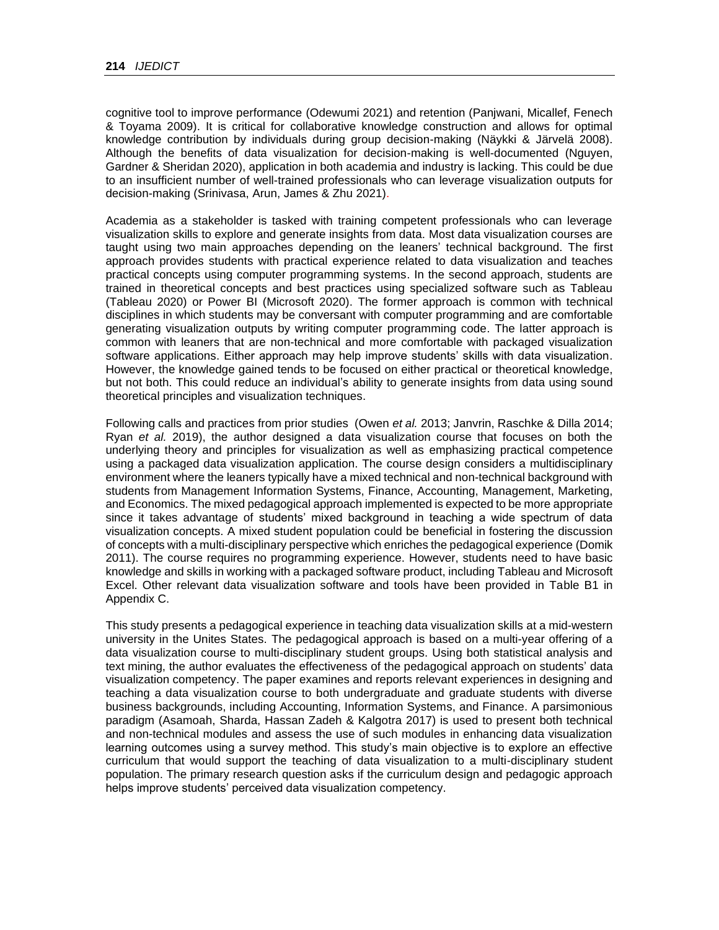cognitive tool to improve performance (Odewumi 2021) and retention (Panjwani, Micallef, Fenech & Toyama 2009). It is critical for collaborative knowledge construction and allows for optimal knowledge contribution by individuals during group decision-making (Näykki & Järvelä 2008). Although the benefits of data visualization for decision-making is well-documented (Nguyen, Gardner & Sheridan 2020), application in both academia and industry is lacking. This could be due to an insufficient number of well-trained professionals who can leverage visualization outputs for decision-making (Srinivasa, Arun, James & Zhu 2021).

Academia as a stakeholder is tasked with training competent professionals who can leverage visualization skills to explore and generate insights from data. Most data visualization courses are taught using two main approaches depending on the leaners' technical background. The first approach provides students with practical experience related to data visualization and teaches practical concepts using computer programming systems. In the second approach, students are trained in theoretical concepts and best practices using specialized software such as Tableau (Tableau 2020) or Power BI (Microsoft 2020). The former approach is common with technical disciplines in which students may be conversant with computer programming and are comfortable generating visualization outputs by writing computer programming code. The latter approach is common with leaners that are non-technical and more comfortable with packaged visualization software applications. Either approach may help improve students' skills with data visualization. However, the knowledge gained tends to be focused on either practical or theoretical knowledge, but not both. This could reduce an individual's ability to generate insights from data using sound theoretical principles and visualization techniques.

Following calls and practices from prior studies (Owen *et al.* 2013; Janvrin, Raschke & Dilla 2014; Ryan *et al.* 2019), the author designed a data visualization course that focuses on both the underlying theory and principles for visualization as well as emphasizing practical competence using a packaged data visualization application. The course design considers a multidisciplinary environment where the leaners typically have a mixed technical and non-technical background with students from Management Information Systems, Finance, Accounting, Management, Marketing, and Economics. The mixed pedagogical approach implemented is expected to be more appropriate since it takes advantage of students' mixed background in teaching a wide spectrum of data visualization concepts. A mixed student population could be beneficial in fostering the discussion of concepts with a multi-disciplinary perspective which enriches the pedagogical experience (Domik 2011). The course requires no programming experience. However, students need to have basic knowledge and skills in working with a packaged software product, including Tableau and Microsoft Excel. Other relevant data visualization software and tools have been provided in Table B1 in Appendix C.

This study presents a pedagogical experience in teaching data visualization skills at a mid-western university in the Unites States. The pedagogical approach is based on a multi-year offering of a data visualization course to multi-disciplinary student groups. Using both statistical analysis and text mining, the author evaluates the effectiveness of the pedagogical approach on students' data visualization competency. The paper examines and reports relevant experiences in designing and teaching a data visualization course to both undergraduate and graduate students with diverse business backgrounds, including Accounting, Information Systems, and Finance. A parsimonious paradigm (Asamoah, Sharda, Hassan Zadeh & Kalgotra 2017) is used to present both technical and non-technical modules and assess the use of such modules in enhancing data visualization learning outcomes using a survey method. This study's main objective is to explore an effective curriculum that would support the teaching of data visualization to a multi-disciplinary student population. The primary research question asks if the curriculum design and pedagogic approach helps improve students' perceived data visualization competency.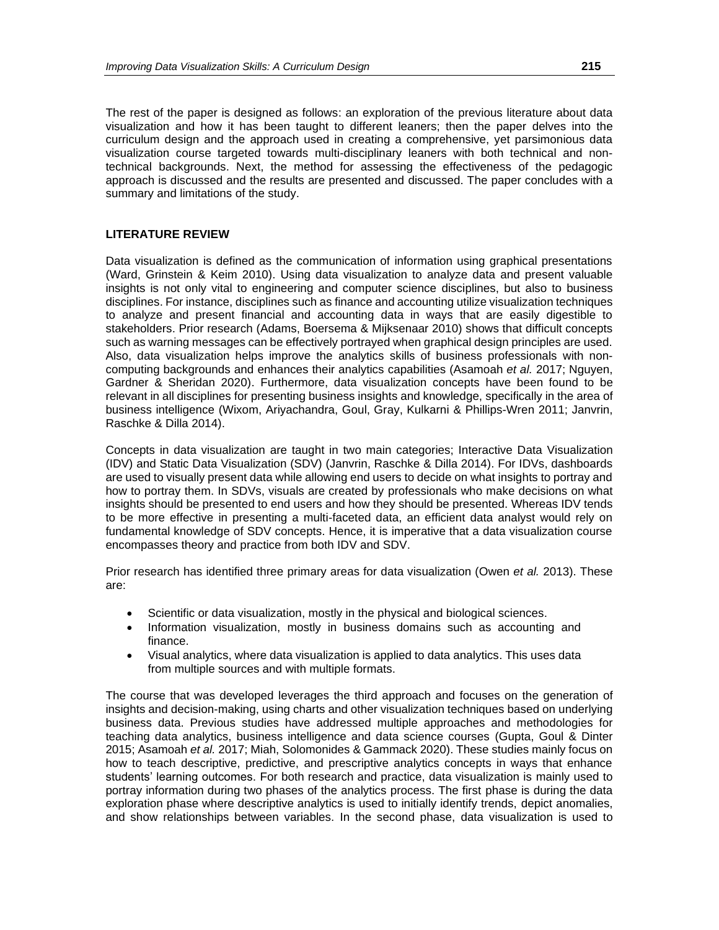The rest of the paper is designed as follows: an exploration of the previous literature about data visualization and how it has been taught to different leaners; then the paper delves into the curriculum design and the approach used in creating a comprehensive, yet parsimonious data visualization course targeted towards multi-disciplinary leaners with both technical and nontechnical backgrounds. Next, the method for assessing the effectiveness of the pedagogic approach is discussed and the results are presented and discussed. The paper concludes with a summary and limitations of the study.

### **LITERATURE REVIEW**

Data visualization is defined as the communication of information using graphical presentations (Ward, Grinstein & Keim 2010). Using data visualization to analyze data and present valuable insights is not only vital to engineering and computer science disciplines, but also to business disciplines. For instance, disciplines such as finance and accounting utilize visualization techniques to analyze and present financial and accounting data in ways that are easily digestible to stakeholders. Prior research (Adams, Boersema & Mijksenaar 2010) shows that difficult concepts such as warning messages can be effectively portrayed when graphical design principles are used. Also, data visualization helps improve the analytics skills of business professionals with noncomputing backgrounds and enhances their analytics capabilities (Asamoah *et al.* 2017; Nguyen, Gardner & Sheridan 2020). Furthermore, data visualization concepts have been found to be relevant in all disciplines for presenting business insights and knowledge, specifically in the area of business intelligence (Wixom, Ariyachandra, Goul, Gray, Kulkarni & Phillips-Wren 2011; Janvrin, Raschke & Dilla 2014).

Concepts in data visualization are taught in two main categories; Interactive Data Visualization (IDV) and Static Data Visualization (SDV) (Janvrin, Raschke & Dilla 2014). For IDVs, dashboards are used to visually present data while allowing end users to decide on what insights to portray and how to portray them. In SDVs, visuals are created by professionals who make decisions on what insights should be presented to end users and how they should be presented. Whereas IDV tends to be more effective in presenting a multi-faceted data, an efficient data analyst would rely on fundamental knowledge of SDV concepts. Hence, it is imperative that a data visualization course encompasses theory and practice from both IDV and SDV.

Prior research has identified three primary areas for data visualization (Owen *et al.* 2013). These are:

- Scientific or data visualization, mostly in the physical and biological sciences.
- Information visualization, mostly in business domains such as accounting and finance.
- Visual analytics, where data visualization is applied to data analytics. This uses data from multiple sources and with multiple formats.

The course that was developed leverages the third approach and focuses on the generation of insights and decision-making, using charts and other visualization techniques based on underlying business data. Previous studies have addressed multiple approaches and methodologies for teaching data analytics, business intelligence and data science courses (Gupta, Goul & Dinter 2015; Asamoah *et al.* 2017; Miah, Solomonides & Gammack 2020). These studies mainly focus on how to teach descriptive, predictive, and prescriptive analytics concepts in ways that enhance students' learning outcomes. For both research and practice, data visualization is mainly used to portray information during two phases of the analytics process. The first phase is during the data exploration phase where descriptive analytics is used to initially identify trends, depict anomalies, and show relationships between variables. In the second phase, data visualization is used to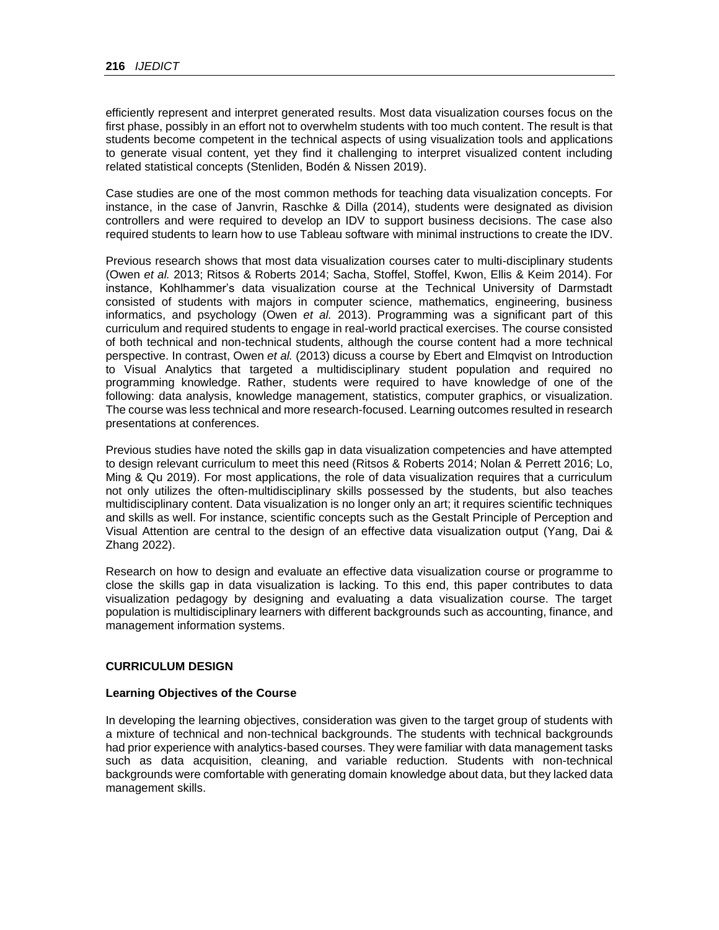efficiently represent and interpret generated results. Most data visualization courses focus on the first phase, possibly in an effort not to overwhelm students with too much content. The result is that students become competent in the technical aspects of using visualization tools and applications to generate visual content, yet they find it challenging to interpret visualized content including related statistical concepts (Stenliden, Bodén & Nissen 2019).

Case studies are one of the most common methods for teaching data visualization concepts. For instance, in the case of Janvrin, Raschke & Dilla (2014), students were designated as division controllers and were required to develop an IDV to support business decisions. The case also required students to learn how to use Tableau software with minimal instructions to create the IDV.

Previous research shows that most data visualization courses cater to multi-disciplinary students (Owen *et al.* 2013; Ritsos & Roberts 2014; Sacha, Stoffel, Stoffel, Kwon, Ellis & Keim 2014). For instance, Kohlhammer's data visualization course at the Technical University of Darmstadt consisted of students with majors in computer science, mathematics, engineering, business informatics, and psychology (Owen *et al.* 2013). Programming was a significant part of this curriculum and required students to engage in real-world practical exercises. The course consisted of both technical and non-technical students, although the course content had a more technical perspective. In contrast, Owen *et al.* (2013) dicuss a course by Ebert and Elmqvist on Introduction to Visual Analytics that targeted a multidisciplinary student population and required no programming knowledge. Rather, students were required to have knowledge of one of the following: data analysis, knowledge management, statistics, computer graphics, or visualization. The course was less technical and more research-focused. Learning outcomes resulted in research presentations at conferences.

Previous studies have noted the skills gap in data visualization competencies and have attempted to design relevant curriculum to meet this need (Ritsos & Roberts 2014; Nolan & Perrett 2016; Lo, Ming & Qu 2019). For most applications, the role of data visualization requires that a curriculum not only utilizes the often-multidisciplinary skills possessed by the students, but also teaches multidisciplinary content. Data visualization is no longer only an art; it requires scientific techniques and skills as well. For instance, scientific concepts such as the Gestalt Principle of Perception and Visual Attention are central to the design of an effective data visualization output (Yang, Dai & Zhang 2022).

Research on how to design and evaluate an effective data visualization course or programme to close the skills gap in data visualization is lacking. To this end, this paper contributes to data visualization pedagogy by designing and evaluating a data visualization course. The target population is multidisciplinary learners with different backgrounds such as accounting, finance, and management information systems.

### **CURRICULUM DESIGN**

#### **Learning Objectives of the Course**

In developing the learning objectives, consideration was given to the target group of students with a mixture of technical and non-technical backgrounds. The students with technical backgrounds had prior experience with analytics-based courses. They were familiar with data management tasks such as data acquisition, cleaning, and variable reduction. Students with non-technical backgrounds were comfortable with generating domain knowledge about data, but they lacked data management skills.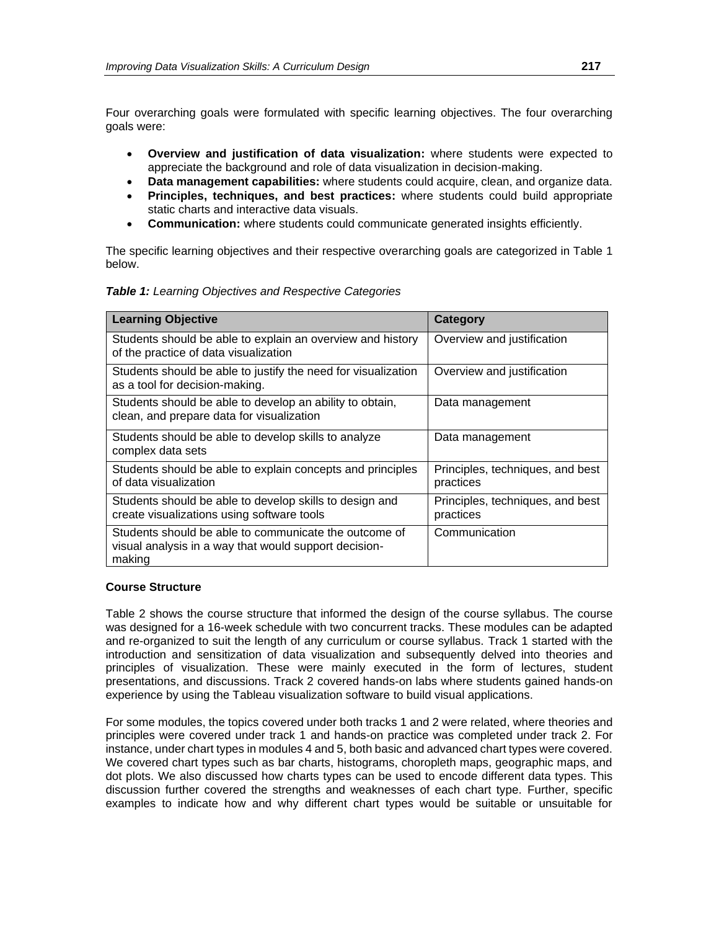Four overarching goals were formulated with specific learning objectives. The four overarching goals were:

- **Overview and justification of data visualization:** where students were expected to appreciate the background and role of data visualization in decision-making.
- **Data management capabilities:** where students could acquire, clean, and organize data.
- **Principles, techniques, and best practices:** where students could build appropriate static charts and interactive data visuals.
- **Communication:** where students could communicate generated insights efficiently.

The specific learning objectives and their respective overarching goals are categorized in Table 1 below.

|  |  | <b>Table 1:</b> Learning Objectives and Respective Categories |
|--|--|---------------------------------------------------------------|
|--|--|---------------------------------------------------------------|

| <b>Learning Objective</b>                                                                                                | Category                                      |
|--------------------------------------------------------------------------------------------------------------------------|-----------------------------------------------|
| Students should be able to explain an overview and history<br>of the practice of data visualization                      | Overview and justification                    |
| Students should be able to justify the need for visualization<br>as a tool for decision-making.                          | Overview and justification                    |
| Students should be able to develop an ability to obtain,<br>clean, and prepare data for visualization                    | Data management                               |
| Students should be able to develop skills to analyze<br>complex data sets                                                | Data management                               |
| Students should be able to explain concepts and principles<br>of data visualization                                      | Principles, techniques, and best<br>practices |
| Students should be able to develop skills to design and<br>create visualizations using software tools                    | Principles, techniques, and best<br>practices |
| Students should be able to communicate the outcome of<br>visual analysis in a way that would support decision-<br>making | Communication                                 |

### **Course Structure**

Table 2 shows the course structure that informed the design of the course syllabus. The course was designed for a 16-week schedule with two concurrent tracks. These modules can be adapted and re-organized to suit the length of any curriculum or course syllabus. Track 1 started with the introduction and sensitization of data visualization and subsequently delved into theories and principles of visualization. These were mainly executed in the form of lectures, student presentations, and discussions. Track 2 covered hands-on labs where students gained hands-on experience by using the Tableau visualization software to build visual applications.

For some modules, the topics covered under both tracks 1 and 2 were related, where theories and principles were covered under track 1 and hands-on practice was completed under track 2. For instance, under chart types in modules 4 and 5, both basic and advanced chart types were covered. We covered chart types such as bar charts, histograms, choropleth maps, geographic maps, and dot plots. We also discussed how charts types can be used to encode different data types. This discussion further covered the strengths and weaknesses of each chart type. Further, specific examples to indicate how and why different chart types would be suitable or unsuitable for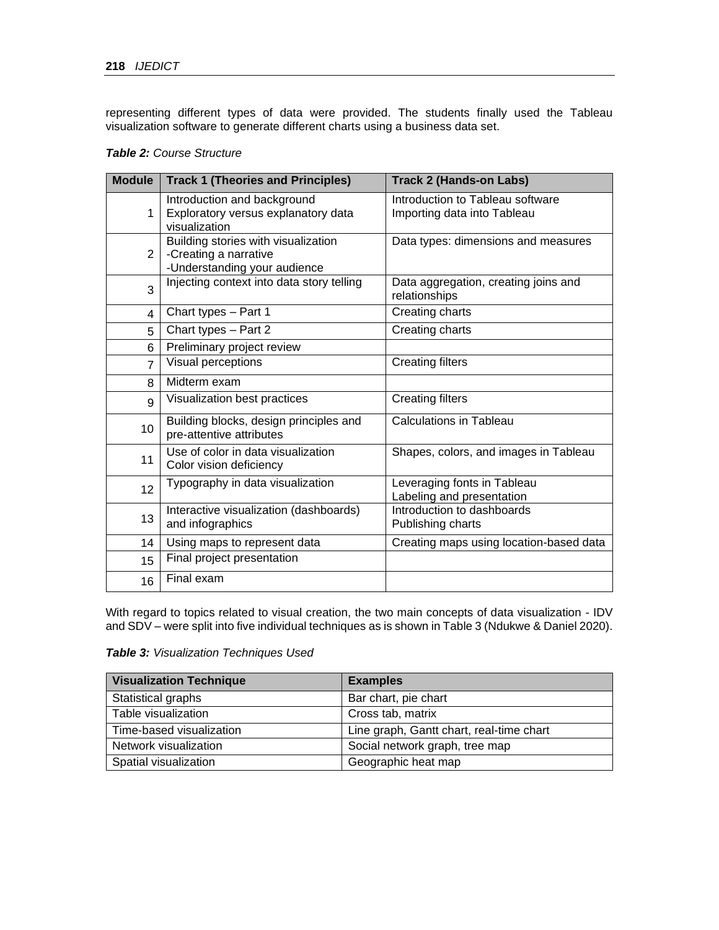representing different types of data were provided. The students finally used the Tableau visualization software to generate different charts using a business data set.

| <b>Table 2: Course Structure</b> |  |  |
|----------------------------------|--|--|
|----------------------------------|--|--|

| <b>Module</b>  | <b>Track 1 (Theories and Principles)</b>                                                     | <b>Track 2 (Hands-on Labs)</b>                                  |
|----------------|----------------------------------------------------------------------------------------------|-----------------------------------------------------------------|
| 1              | Introduction and background<br>Exploratory versus explanatory data<br>visualization          | Introduction to Tableau software<br>Importing data into Tableau |
| 2              | Building stories with visualization<br>-Creating a narrative<br>-Understanding your audience | Data types: dimensions and measures                             |
| 3              | Injecting context into data story telling                                                    | Data aggregation, creating joins and<br>relationships           |
| 4              | Chart types - Part 1                                                                         | Creating charts                                                 |
| 5              | Chart types - Part 2                                                                         | Creating charts                                                 |
| 6              | Preliminary project review                                                                   |                                                                 |
| $\overline{7}$ | Visual perceptions                                                                           | <b>Creating filters</b>                                         |
| 8              | Midterm exam                                                                                 |                                                                 |
| 9              | Visualization best practices                                                                 | <b>Creating filters</b>                                         |
| 10             | Building blocks, design principles and<br>pre-attentive attributes                           | <b>Calculations in Tableau</b>                                  |
| 11             | Use of color in data visualization<br>Color vision deficiency                                | Shapes, colors, and images in Tableau                           |
| 12             | Typography in data visualization                                                             | Leveraging fonts in Tableau<br>Labeling and presentation        |
| 13             | Interactive visualization (dashboards)<br>and infographics                                   | Introduction to dashboards<br>Publishing charts                 |
| 14             | Using maps to represent data                                                                 | Creating maps using location-based data                         |
| 15             | Final project presentation                                                                   |                                                                 |
| 16             | Final exam                                                                                   |                                                                 |

With regard to topics related to visual creation, the two main concepts of data visualization - IDV and SDV – were split into five individual techniques as is shown in Table 3 (Ndukwe & Daniel 2020).

*Table 3: Visualization Techniques Used*

| <b>Visualization Technique</b> | <b>Examples</b>                          |
|--------------------------------|------------------------------------------|
| Statistical graphs             | Bar chart, pie chart                     |
| Table visualization            | Cross tab, matrix                        |
| Time-based visualization       | Line graph, Gantt chart, real-time chart |
| Network visualization          | Social network graph, tree map           |
| Spatial visualization          | Geographic heat map                      |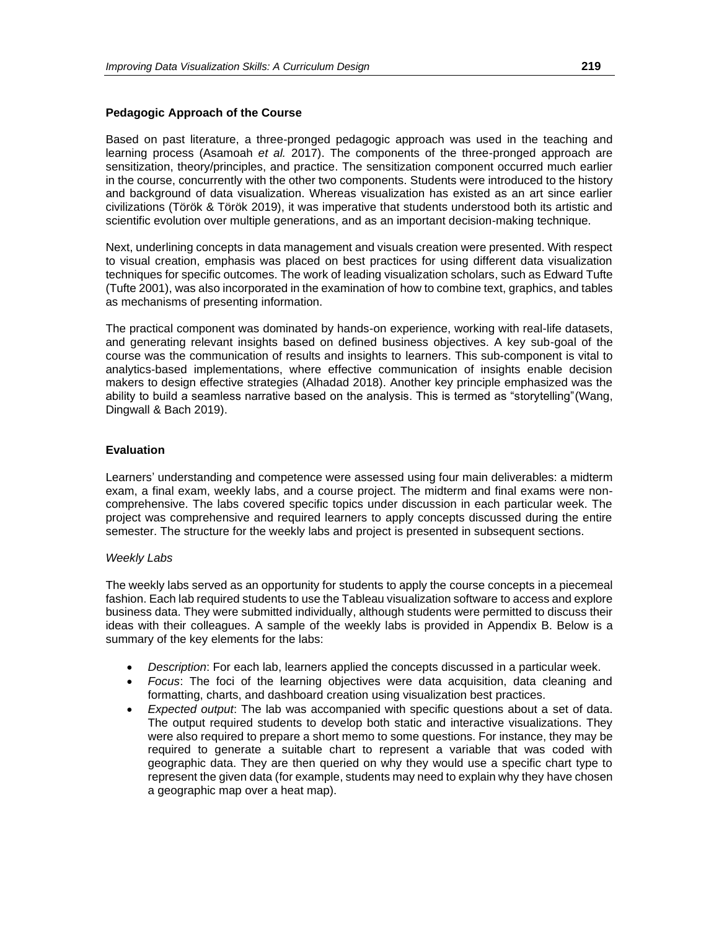#### **Pedagogic Approach of the Course**

Based on past literature, a three-pronged pedagogic approach was used in the teaching and learning process (Asamoah *et al.* 2017). The components of the three-pronged approach are sensitization, theory/principles, and practice. The sensitization component occurred much earlier in the course, concurrently with the other two components. Students were introduced to the history and background of data visualization. Whereas visualization has existed as an art since earlier civilizations (Török & Török 2019), it was imperative that students understood both its artistic and scientific evolution over multiple generations, and as an important decision-making technique.

Next, underlining concepts in data management and visuals creation were presented. With respect to visual creation, emphasis was placed on best practices for using different data visualization techniques for specific outcomes. The work of leading visualization scholars, such as Edward Tufte (Tufte 2001), was also incorporated in the examination of how to combine text, graphics, and tables as mechanisms of presenting information.

The practical component was dominated by hands-on experience, working with real-life datasets, and generating relevant insights based on defined business objectives. A key sub-goal of the course was the communication of results and insights to learners. This sub-component is vital to analytics-based implementations, where effective communication of insights enable decision makers to design effective strategies (Alhadad 2018). Another key principle emphasized was the ability to build a seamless narrative based on the analysis. This is termed as "storytelling"(Wang, Dingwall & Bach 2019).

#### **Evaluation**

Learners' understanding and competence were assessed using four main deliverables: a midterm exam, a final exam, weekly labs, and a course project. The midterm and final exams were noncomprehensive. The labs covered specific topics under discussion in each particular week. The project was comprehensive and required learners to apply concepts discussed during the entire semester. The structure for the weekly labs and project is presented in subsequent sections.

#### *Weekly Labs*

The weekly labs served as an opportunity for students to apply the course concepts in a piecemeal fashion. Each lab required students to use the Tableau visualization software to access and explore business data. They were submitted individually, although students were permitted to discuss their ideas with their colleagues. A sample of the weekly labs is provided in Appendix B. Below is a summary of the key elements for the labs:

- *Description*: For each lab, learners applied the concepts discussed in a particular week.
- *Focus*: The foci of the learning objectives were data acquisition, data cleaning and formatting, charts, and dashboard creation using visualization best practices.
- *Expected output*: The lab was accompanied with specific questions about a set of data. The output required students to develop both static and interactive visualizations. They were also required to prepare a short memo to some questions. For instance, they may be required to generate a suitable chart to represent a variable that was coded with geographic data. They are then queried on why they would use a specific chart type to represent the given data (for example, students may need to explain why they have chosen a geographic map over a heat map).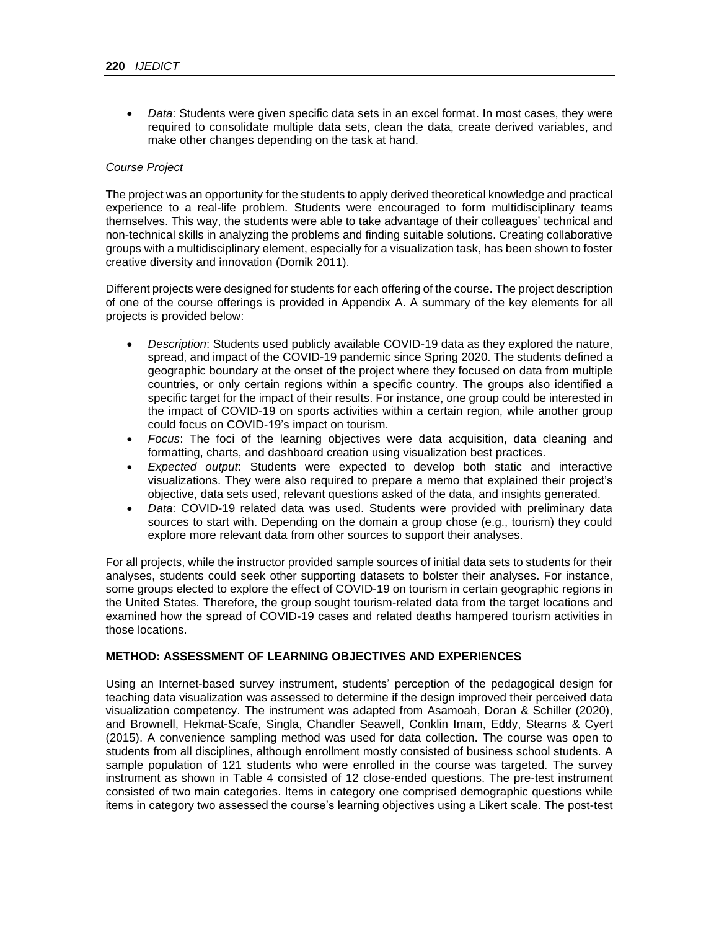• *Data*: Students were given specific data sets in an excel format. In most cases, they were required to consolidate multiple data sets, clean the data, create derived variables, and make other changes depending on the task at hand.

### *Course Project*

The project was an opportunity for the students to apply derived theoretical knowledge and practical experience to a real-life problem. Students were encouraged to form multidisciplinary teams themselves. This way, the students were able to take advantage of their colleagues' technical and non-technical skills in analyzing the problems and finding suitable solutions. Creating collaborative groups with a multidisciplinary element, especially for a visualization task, has been shown to foster creative diversity and innovation (Domik 2011).

Different projects were designed for students for each offering of the course. The project description of one of the course offerings is provided in Appendix A. A summary of the key elements for all projects is provided below:

- *Description*: Students used publicly available COVID-19 data as they explored the nature, spread, and impact of the COVID-19 pandemic since Spring 2020. The students defined a geographic boundary at the onset of the project where they focused on data from multiple countries, or only certain regions within a specific country. The groups also identified a specific target for the impact of their results. For instance, one group could be interested in the impact of COVID-19 on sports activities within a certain region, while another group could focus on COVID-19's impact on tourism.
- *Focus*: The foci of the learning objectives were data acquisition, data cleaning and formatting, charts, and dashboard creation using visualization best practices.
- *Expected output*: Students were expected to develop both static and interactive visualizations. They were also required to prepare a memo that explained their project's objective, data sets used, relevant questions asked of the data, and insights generated.
- *Data*: COVID-19 related data was used. Students were provided with preliminary data sources to start with. Depending on the domain a group chose (e.g., tourism) they could explore more relevant data from other sources to support their analyses.

For all projects, while the instructor provided sample sources of initial data sets to students for their analyses, students could seek other supporting datasets to bolster their analyses. For instance, some groups elected to explore the effect of COVID-19 on tourism in certain geographic regions in the United States. Therefore, the group sought tourism-related data from the target locations and examined how the spread of COVID-19 cases and related deaths hampered tourism activities in those locations.

### **METHOD: ASSESSMENT OF LEARNING OBJECTIVES AND EXPERIENCES**

Using an Internet-based survey instrument, students' perception of the pedagogical design for teaching data visualization was assessed to determine if the design improved their perceived data visualization competency. The instrument was adapted from Asamoah, Doran & Schiller (2020), and Brownell, Hekmat-Scafe, Singla, Chandler Seawell, Conklin Imam, Eddy, Stearns & Cyert (2015). A convenience sampling method was used for data collection. The course was open to students from all disciplines, although enrollment mostly consisted of business school students. A sample population of 121 students who were enrolled in the course was targeted. The survey instrument as shown in Table 4 consisted of 12 close-ended questions. The pre-test instrument consisted of two main categories. Items in category one comprised demographic questions while items in category two assessed the course's learning objectives using a Likert scale. The post-test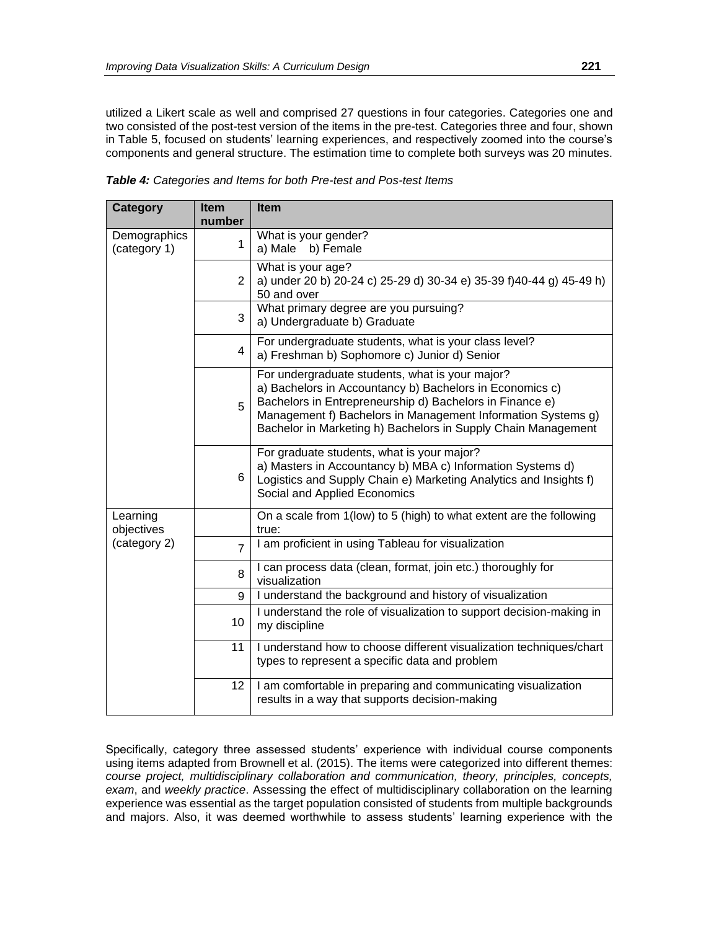utilized a Likert scale as well and comprised 27 questions in four categories. Categories one and two consisted of the post-test version of the items in the pre-test. Categories three and four, shown in Table 5, focused on students' learning experiences, and respectively zoomed into the course's components and general structure. The estimation time to complete both surveys was 20 minutes.

| Category                     | <b>Item</b><br>number | <b>Item</b>                                                                                                                                                                                                                                                                                              |
|------------------------------|-----------------------|----------------------------------------------------------------------------------------------------------------------------------------------------------------------------------------------------------------------------------------------------------------------------------------------------------|
| Demographics<br>(category 1) | 1                     | What is your gender?<br>a) Male<br>b) Female                                                                                                                                                                                                                                                             |
|                              | $\overline{2}$        | What is your age?<br>a) under 20 b) 20-24 c) 25-29 d) 30-34 e) 35-39 f)40-44 g) 45-49 h)<br>50 and over                                                                                                                                                                                                  |
|                              | 3                     | What primary degree are you pursuing?<br>a) Undergraduate b) Graduate                                                                                                                                                                                                                                    |
|                              | 4                     | For undergraduate students, what is your class level?<br>a) Freshman b) Sophomore c) Junior d) Senior                                                                                                                                                                                                    |
|                              | 5                     | For undergraduate students, what is your major?<br>a) Bachelors in Accountancy b) Bachelors in Economics c)<br>Bachelors in Entrepreneurship d) Bachelors in Finance e)<br>Management f) Bachelors in Management Information Systems g)<br>Bachelor in Marketing h) Bachelors in Supply Chain Management |
|                              | 6                     | For graduate students, what is your major?<br>a) Masters in Accountancy b) MBA c) Information Systems d)<br>Logistics and Supply Chain e) Marketing Analytics and Insights f)<br>Social and Applied Economics                                                                                            |
| Learning<br>objectives       |                       | On a scale from 1(low) to 5 (high) to what extent are the following<br>true:                                                                                                                                                                                                                             |
| (category 2)                 | $\overline{7}$        | I am proficient in using Tableau for visualization                                                                                                                                                                                                                                                       |
|                              | 8                     | I can process data (clean, format, join etc.) thoroughly for<br>visualization                                                                                                                                                                                                                            |
|                              | 9                     | I understand the background and history of visualization                                                                                                                                                                                                                                                 |
|                              | 10                    | I understand the role of visualization to support decision-making in<br>my discipline                                                                                                                                                                                                                    |
|                              | 11                    | I understand how to choose different visualization techniques/chart<br>types to represent a specific data and problem                                                                                                                                                                                    |
|                              | 12                    | I am comfortable in preparing and communicating visualization<br>results in a way that supports decision-making                                                                                                                                                                                          |

*Table 4: Categories and Items for both Pre-test and Pos-test Items*

Specifically, category three assessed students' experience with individual course components using items adapted from Brownell et al. (2015). The items were categorized into different themes: *course project, multidisciplinary collaboration and communication, theory, principles, concepts, exam*, and *weekly practice*. Assessing the effect of multidisciplinary collaboration on the learning experience was essential as the target population consisted of students from multiple backgrounds and majors. Also, it was deemed worthwhile to assess students' learning experience with the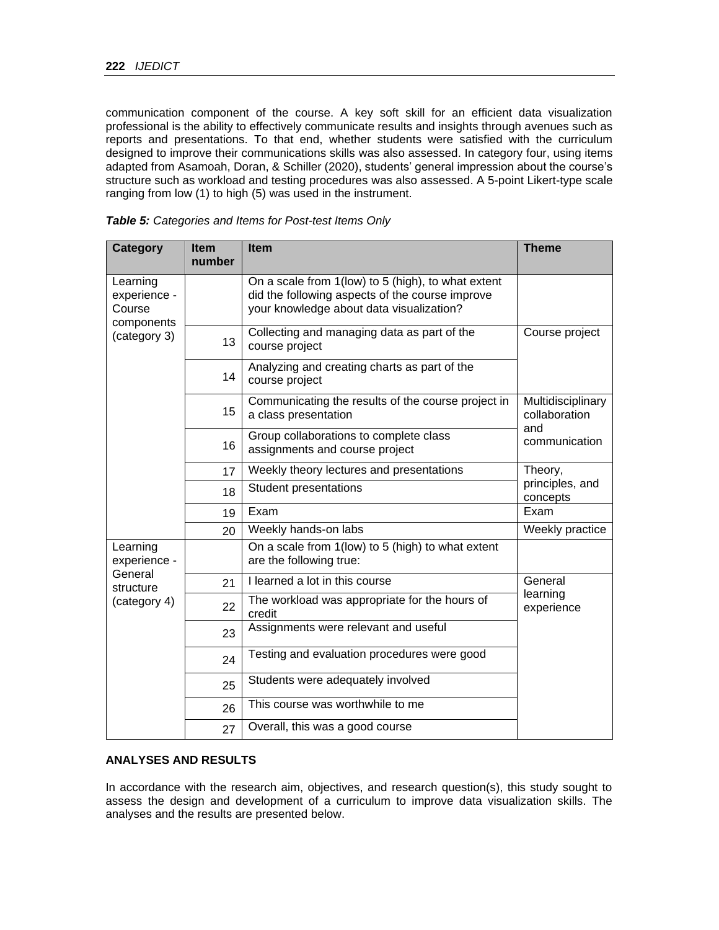communication component of the course. A key soft skill for an efficient data visualization professional is the ability to effectively communicate results and insights through avenues such as reports and presentations. To that end, whether students were satisfied with the curriculum designed to improve their communications skills was also assessed. In category four, using items adapted from Asamoah, Doran, & Schiller (2020), students' general impression about the course's structure such as workload and testing procedures was also assessed. A 5-point Likert-type scale ranging from low (1) to high (5) was used in the instrument.

| Category                                         | <b>Item</b><br>number | <b>Item</b>                                                                                                                                       | <b>Theme</b>                       |
|--------------------------------------------------|-----------------------|---------------------------------------------------------------------------------------------------------------------------------------------------|------------------------------------|
| Learning<br>experience -<br>Course<br>components |                       | On a scale from 1(low) to 5 (high), to what extent<br>did the following aspects of the course improve<br>your knowledge about data visualization? |                                    |
| (category 3)                                     | 13                    | Collecting and managing data as part of the<br>course project                                                                                     | Course project                     |
|                                                  | 14                    | Analyzing and creating charts as part of the<br>course project                                                                                    |                                    |
|                                                  | 15                    | Communicating the results of the course project in<br>a class presentation                                                                        | Multidisciplinary<br>collaboration |
|                                                  | 16                    | Group collaborations to complete class<br>assignments and course project                                                                          | and<br>communication               |
|                                                  | 17                    | Weekly theory lectures and presentations                                                                                                          | Theory,                            |
|                                                  | 18                    | <b>Student presentations</b>                                                                                                                      | principles, and<br>concepts        |
|                                                  | 19                    | Exam                                                                                                                                              | Exam                               |
|                                                  | 20                    | Weekly hands-on labs                                                                                                                              | Weekly practice                    |
| Learning<br>experience -                         |                       | On a scale from 1(low) to 5 (high) to what extent<br>are the following true:                                                                      |                                    |
| General<br>structure                             | 21                    | I learned a lot in this course                                                                                                                    | General                            |
| (category 4)                                     | 22                    | The workload was appropriate for the hours of<br>credit                                                                                           | learning<br>experience             |
|                                                  | 23                    | Assignments were relevant and useful                                                                                                              |                                    |
|                                                  | 24                    | Testing and evaluation procedures were good                                                                                                       |                                    |
|                                                  | 25                    | Students were adequately involved                                                                                                                 |                                    |
|                                                  | 26                    | This course was worthwhile to me                                                                                                                  |                                    |
|                                                  | 27                    | Overall, this was a good course                                                                                                                   |                                    |

*Table 5: Categories and Items for Post-test Items Only*

#### **ANALYSES AND RESULTS**

In accordance with the research aim, objectives, and research question(s), this study sought to assess the design and development of a curriculum to improve data visualization skills. The analyses and the results are presented below.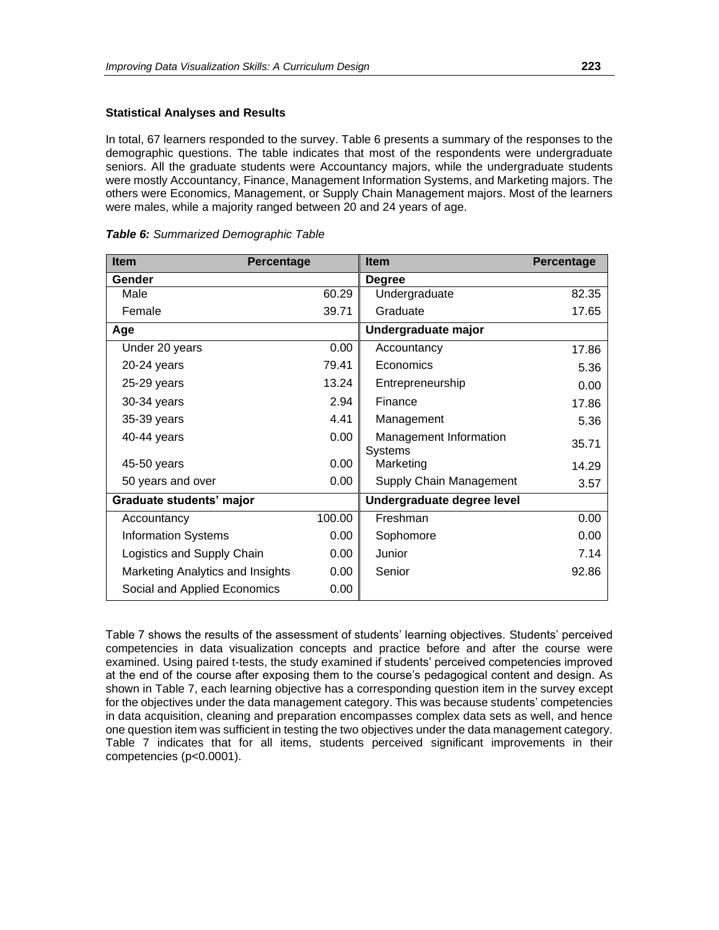#### **Statistical Analyses and Results**

In total, 67 learners responded to the survey. Table 6 presents a summary of the responses to the demographic questions. The table indicates that most of the respondents were undergraduate seniors. All the graduate students were Accountancy majors, while the undergraduate students were mostly Accountancy, Finance, Management Information Systems, and Marketing majors. The others were Economics, Management, or Supply Chain Management majors. Most of the learners were males, while a majority ranged between 20 and 24 years of age.

| <b>Item</b>                      | Percentage | <b>Item</b>                              | <b>Percentage</b> |
|----------------------------------|------------|------------------------------------------|-------------------|
| Gender                           |            | <b>Degree</b>                            |                   |
| Male                             | 60.29      | Undergraduate                            | 82.35             |
| Female                           | 39.71      | Graduate                                 | 17.65             |
| Age                              |            | Undergraduate major                      |                   |
| Under 20 years                   | 0.00       | Accountancy                              | 17.86             |
| 20-24 years                      | 79.41      | Economics                                | 5.36              |
| 25-29 years                      | 13.24      | Entrepreneurship                         | 0.00              |
| 30-34 years                      | 2.94       | Finance                                  | 17.86             |
| 35-39 years                      | 4.41       | Management                               | 5.36              |
| 40-44 years                      | 0.00       | Management Information<br><b>Systems</b> | 35.71             |
| 45-50 years                      | 0.00       | Marketing                                | 14.29             |
| 50 years and over                | 0.00       | Supply Chain Management                  | 3.57              |
| Graduate students' major         |            | Undergraduate degree level               |                   |
| Accountancy                      | 100.00     | Freshman                                 | 0.00              |
| <b>Information Systems</b>       | 0.00       | Sophomore                                | 0.00              |
| Logistics and Supply Chain       | 0.00       | Junior                                   | 7.14              |
| Marketing Analytics and Insights | 0.00       | Senior                                   | 92.86             |
| Social and Applied Economics     | 0.00       |                                          |                   |

| Table 6: Summarized Demographic Table |
|---------------------------------------|
|---------------------------------------|

Table 7 shows the results of the assessment of students' learning objectives. Students' perceived competencies in data visualization concepts and practice before and after the course were examined. Using paired t-tests, the study examined if students' perceived competencies improved at the end of the course after exposing them to the course's pedagogical content and design. As shown in Table 7, each learning objective has a corresponding question item in the survey except for the objectives under the data management category. This was because students' competencies in data acquisition, cleaning and preparation encompasses complex data sets as well, and hence one question item was sufficient in testing the two objectives under the data management category. Table 7 indicates that for all items, students perceived significant improvements in their competencies (p<0.0001).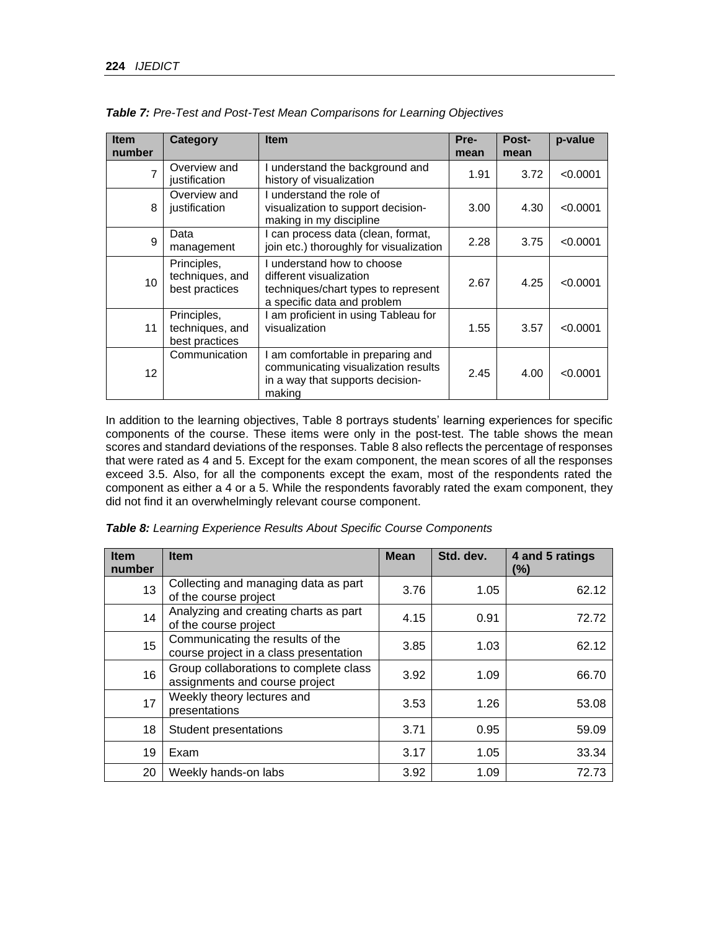| <b>Item</b><br>number | <b>Category</b>                                  | <b>Item</b>                                                                                                               | Pre-<br>mean | Post-<br>mean | p-value  |
|-----------------------|--------------------------------------------------|---------------------------------------------------------------------------------------------------------------------------|--------------|---------------|----------|
| $\overline{7}$        | Overview and<br>justification                    | understand the background and<br>history of visualization                                                                 | 1.91         | 3.72          | < 0.0001 |
| 8                     | Overview and<br>justification                    | understand the role of<br>visualization to support decision-<br>making in my discipline                                   | 3.00         | 4.30          | < 0.0001 |
| $\mathbf{Q}$          | Data<br>management                               | can process data (clean, format,<br>join etc.) thoroughly for visualization                                               | 2.28         | 3.75          | < 0.0001 |
| 10 <sup>°</sup>       | Principles,<br>techniques, and<br>best practices | understand how to choose<br>different visualization<br>techniques/chart types to represent<br>a specific data and problem | 2.67         | 4.25          | < 0.0001 |
| 11                    | Principles,<br>techniques, and<br>best practices | am proficient in using Tableau for<br>visualization                                                                       | 1.55         | 3.57          | < 0.0001 |
| 12                    | Communication                                    | I am comfortable in preparing and<br>communicating visualization results<br>in a way that supports decision-<br>making    | 2.45         | 4.00          | < 0.0001 |

*Table 7: Pre-Test and Post-Test Mean Comparisons for Learning Objectives*

In addition to the learning objectives, Table 8 portrays students' learning experiences for specific components of the course. These items were only in the post-test. The table shows the mean scores and standard deviations of the responses. Table 8 also reflects the percentage of responses that were rated as 4 and 5. Except for the exam component, the mean scores of all the responses exceed 3.5. Also, for all the components except the exam, most of the respondents rated the component as either a 4 or a 5. While the respondents favorably rated the exam component, they did not find it an overwhelmingly relevant course component.

| <b>Item</b><br>number | <b>Item</b>                                                                | <b>Mean</b> | Std. dev. | 4 and 5 ratings<br>$(\%)$ |
|-----------------------|----------------------------------------------------------------------------|-------------|-----------|---------------------------|
| 13                    | Collecting and managing data as part<br>of the course project              | 3.76        | 1.05      | 62.12                     |
| 14                    | Analyzing and creating charts as part<br>of the course project             | 4.15        | 0.91      | 72.72                     |
| 15                    | Communicating the results of the<br>course project in a class presentation | 3.85        | 1.03      | 62.12                     |
| 16                    | Group collaborations to complete class<br>assignments and course project   | 3.92        | 1.09      | 66.70                     |
| 17                    | Weekly theory lectures and<br>presentations                                | 3.53        | 1.26      | 53.08                     |
| 18                    | Student presentations                                                      | 3.71        | 0.95      | 59.09                     |
| 19                    | Exam                                                                       | 3.17        | 1.05      | 33.34                     |
| 20                    | Weekly hands-on labs                                                       | 3.92        | 1.09      | 72.73                     |

*Table 8: Learning Experience Results About Specific Course Components*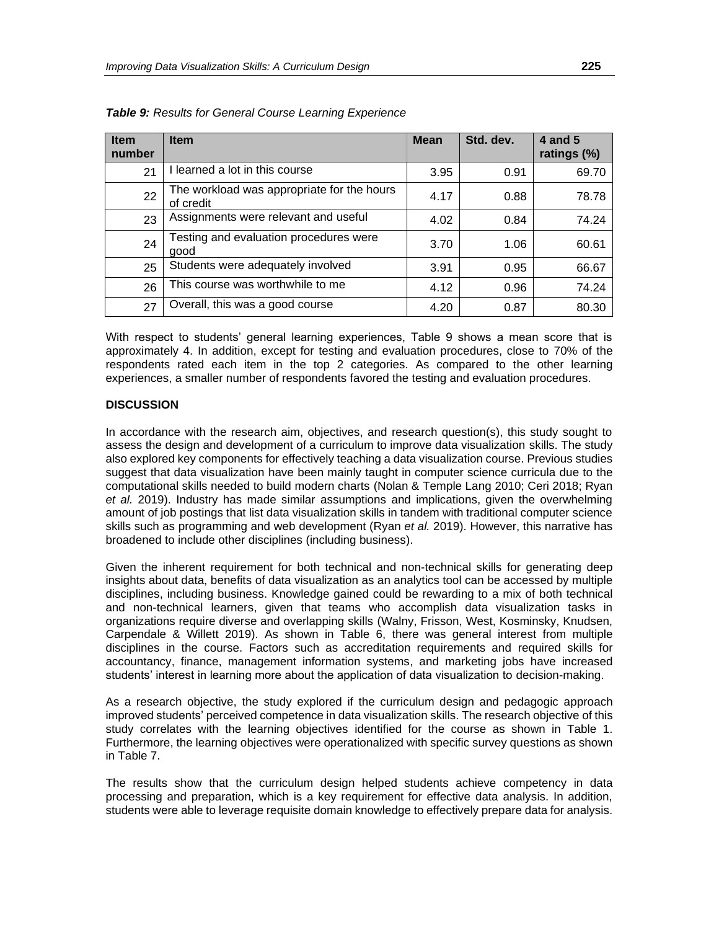| <b>Item</b><br>number | <b>Item</b>                                             | <b>Mean</b> | Std. dev. | 4 and 5<br>ratings (%) |
|-----------------------|---------------------------------------------------------|-------------|-----------|------------------------|
| 21                    | learned a lot in this course                            | 3.95        | 0.91      | 69.70                  |
| 22                    | The workload was appropriate for the hours<br>of credit | 4.17        | 0.88      | 78.78                  |
| 23                    | Assignments were relevant and useful                    | 4.02        | 0.84      | 74.24                  |
| 24                    | Testing and evaluation procedures were<br>good          | 3.70        | 1.06      | 60.61                  |
| 25                    | Students were adequately involved                       | 3.91        | 0.95      | 66.67                  |
| 26                    | This course was worthwhile to me                        | 4.12        | 0.96      | 74.24                  |
| 27                    | Overall, this was a good course                         | 4.20        | 0.87      | 80.30                  |

*Table 9: Results for General Course Learning Experience*

With respect to students' general learning experiences, Table 9 shows a mean score that is approximately 4. In addition, except for testing and evaluation procedures, close to 70% of the respondents rated each item in the top 2 categories. As compared to the other learning experiences, a smaller number of respondents favored the testing and evaluation procedures.

#### **DISCUSSION**

In accordance with the research aim, objectives, and research question(s), this study sought to assess the design and development of a curriculum to improve data visualization skills. The study also explored key components for effectively teaching a data visualization course. Previous studies suggest that data visualization have been mainly taught in computer science curricula due to the computational skills needed to build modern charts (Nolan & Temple Lang 2010; Ceri 2018; Ryan *et al.* 2019). Industry has made similar assumptions and implications, given the overwhelming amount of job postings that list data visualization skills in tandem with traditional computer science skills such as programming and web development (Ryan *et al.* 2019). However, this narrative has broadened to include other disciplines (including business).

Given the inherent requirement for both technical and non-technical skills for generating deep insights about data, benefits of data visualization as an analytics tool can be accessed by multiple disciplines, including business. Knowledge gained could be rewarding to a mix of both technical and non-technical learners, given that teams who accomplish data visualization tasks in organizations require diverse and overlapping skills (Walny, Frisson, West, Kosminsky, Knudsen, Carpendale & Willett 2019). As shown in Table 6, there was general interest from multiple disciplines in the course. Factors such as accreditation requirements and required skills for accountancy, finance, management information systems, and marketing jobs have increased students' interest in learning more about the application of data visualization to decision-making.

As a research objective, the study explored if the curriculum design and pedagogic approach improved students' perceived competence in data visualization skills. The research objective of this study correlates with the learning objectives identified for the course as shown in Table 1. Furthermore, the learning objectives were operationalized with specific survey questions as shown in Table 7.

The results show that the curriculum design helped students achieve competency in data processing and preparation, which is a key requirement for effective data analysis. In addition, students were able to leverage requisite domain knowledge to effectively prepare data for analysis.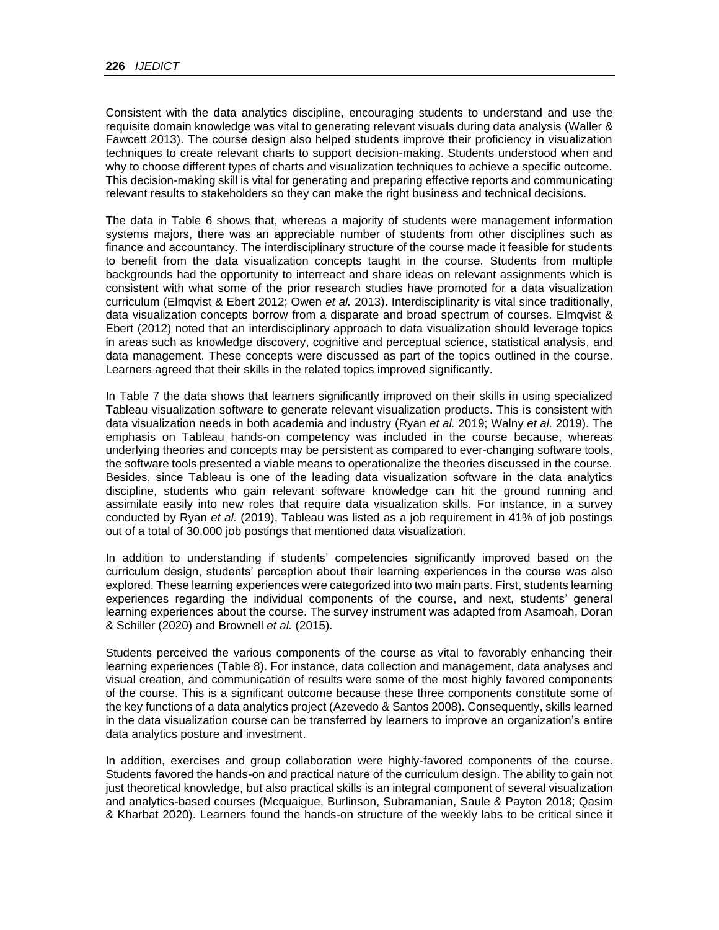Consistent with the data analytics discipline, encouraging students to understand and use the requisite domain knowledge was vital to generating relevant visuals during data analysis (Waller & Fawcett 2013). The course design also helped students improve their proficiency in visualization techniques to create relevant charts to support decision-making. Students understood when and why to choose different types of charts and visualization techniques to achieve a specific outcome. This decision-making skill is vital for generating and preparing effective reports and communicating relevant results to stakeholders so they can make the right business and technical decisions.

The data in Table 6 shows that, whereas a majority of students were management information systems majors, there was an appreciable number of students from other disciplines such as finance and accountancy. The interdisciplinary structure of the course made it feasible for students to benefit from the data visualization concepts taught in the course. Students from multiple backgrounds had the opportunity to interreact and share ideas on relevant assignments which is consistent with what some of the prior research studies have promoted for a data visualization curriculum (Elmqvist & Ebert 2012; Owen *et al.* 2013). Interdisciplinarity is vital since traditionally, data visualization concepts borrow from a disparate and broad spectrum of courses. Elmqvist & Ebert (2012) noted that an interdisciplinary approach to data visualization should leverage topics in areas such as knowledge discovery, cognitive and perceptual science, statistical analysis, and data management. These concepts were discussed as part of the topics outlined in the course. Learners agreed that their skills in the related topics improved significantly.

In Table 7 the data shows that learners significantly improved on their skills in using specialized Tableau visualization software to generate relevant visualization products. This is consistent with data visualization needs in both academia and industry (Ryan *et al.* 2019; Walny *et al.* 2019). The emphasis on Tableau hands-on competency was included in the course because, whereas underlying theories and concepts may be persistent as compared to ever-changing software tools, the software tools presented a viable means to operationalize the theories discussed in the course. Besides, since Tableau is one of the leading data visualization software in the data analytics discipline, students who gain relevant software knowledge can hit the ground running and assimilate easily into new roles that require data visualization skills. For instance, in a survey conducted by Ryan *et al.* (2019), Tableau was listed as a job requirement in 41% of job postings out of a total of 30,000 job postings that mentioned data visualization.

In addition to understanding if students' competencies significantly improved based on the curriculum design, students' perception about their learning experiences in the course was also explored. These learning experiences were categorized into two main parts. First, students learning experiences regarding the individual components of the course, and next, students' general learning experiences about the course. The survey instrument was adapted from Asamoah, Doran & Schiller (2020) and Brownell *et al.* (2015).

Students perceived the various components of the course as vital to favorably enhancing their learning experiences (Table 8). For instance, data collection and management, data analyses and visual creation, and communication of results were some of the most highly favored components of the course. This is a significant outcome because these three components constitute some of the key functions of a data analytics project (Azevedo & Santos 2008). Consequently, skills learned in the data visualization course can be transferred by learners to improve an organization's entire data analytics posture and investment.

In addition, exercises and group collaboration were highly-favored components of the course. Students favored the hands-on and practical nature of the curriculum design. The ability to gain not just theoretical knowledge, but also practical skills is an integral component of several visualization and analytics-based courses (Mcquaigue, Burlinson, Subramanian, Saule & Payton 2018; Qasim & Kharbat 2020). Learners found the hands-on structure of the weekly labs to be critical since it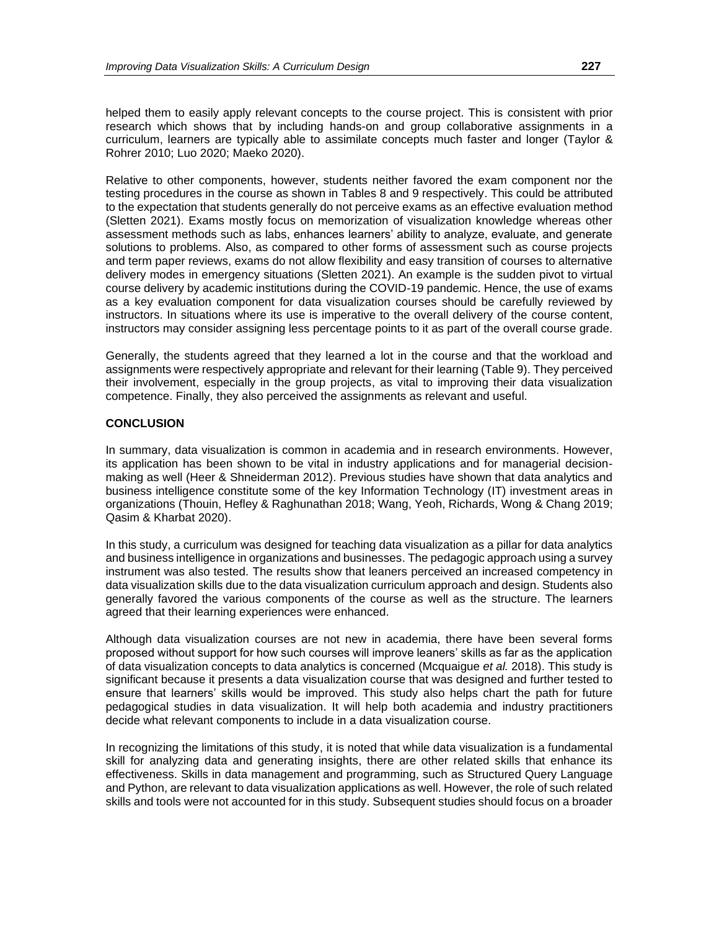helped them to easily apply relevant concepts to the course project. This is consistent with prior research which shows that by including hands-on and group collaborative assignments in a curriculum, learners are typically able to assimilate concepts much faster and longer (Taylor & Rohrer 2010; Luo 2020; Maeko 2020).

Relative to other components, however, students neither favored the exam component nor the testing procedures in the course as shown in Tables 8 and 9 respectively. This could be attributed to the expectation that students generally do not perceive exams as an effective evaluation method (Sletten 2021). Exams mostly focus on memorization of visualization knowledge whereas other assessment methods such as labs, enhances learners' ability to analyze, evaluate, and generate solutions to problems. Also, as compared to other forms of assessment such as course projects and term paper reviews, exams do not allow flexibility and easy transition of courses to alternative delivery modes in emergency situations (Sletten 2021). An example is the sudden pivot to virtual course delivery by academic institutions during the COVID-19 pandemic. Hence, the use of exams as a key evaluation component for data visualization courses should be carefully reviewed by instructors. In situations where its use is imperative to the overall delivery of the course content, instructors may consider assigning less percentage points to it as part of the overall course grade.

Generally, the students agreed that they learned a lot in the course and that the workload and assignments were respectively appropriate and relevant for their learning (Table 9). They perceived their involvement, especially in the group projects, as vital to improving their data visualization competence. Finally, they also perceived the assignments as relevant and useful.

#### **CONCLUSION**

In summary, data visualization is common in academia and in research environments. However, its application has been shown to be vital in industry applications and for managerial decisionmaking as well (Heer & Shneiderman 2012). Previous studies have shown that data analytics and business intelligence constitute some of the key Information Technology (IT) investment areas in organizations (Thouin, Hefley & Raghunathan 2018; Wang, Yeoh, Richards, Wong & Chang 2019; Qasim & Kharbat 2020).

In this study, a curriculum was designed for teaching data visualization as a pillar for data analytics and business intelligence in organizations and businesses. The pedagogic approach using a survey instrument was also tested. The results show that leaners perceived an increased competency in data visualization skills due to the data visualization curriculum approach and design. Students also generally favored the various components of the course as well as the structure. The learners agreed that their learning experiences were enhanced.

Although data visualization courses are not new in academia, there have been several forms proposed without support for how such courses will improve leaners' skills as far as the application of data visualization concepts to data analytics is concerned (Mcquaigue *et al.* 2018). This study is significant because it presents a data visualization course that was designed and further tested to ensure that learners' skills would be improved. This study also helps chart the path for future pedagogical studies in data visualization. It will help both academia and industry practitioners decide what relevant components to include in a data visualization course.

In recognizing the limitations of this study, it is noted that while data visualization is a fundamental skill for analyzing data and generating insights, there are other related skills that enhance its effectiveness. Skills in data management and programming, such as Structured Query Language and Python, are relevant to data visualization applications as well. However, the role of such related skills and tools were not accounted for in this study. Subsequent studies should focus on a broader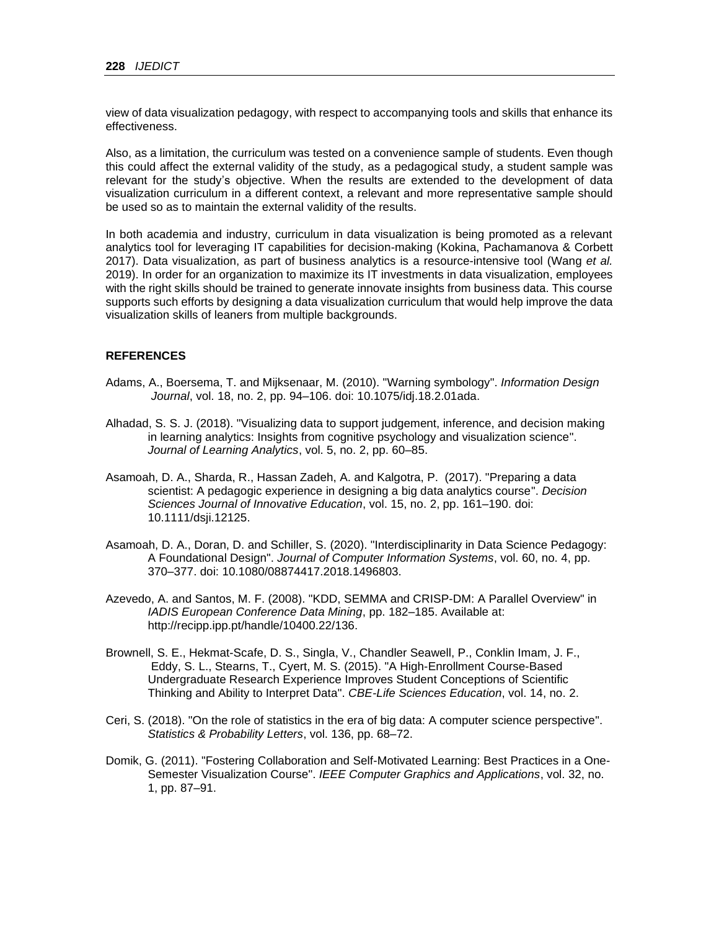view of data visualization pedagogy, with respect to accompanying tools and skills that enhance its effectiveness.

Also, as a limitation, the curriculum was tested on a convenience sample of students. Even though this could affect the external validity of the study, as a pedagogical study, a student sample was relevant for the study's objective. When the results are extended to the development of data visualization curriculum in a different context, a relevant and more representative sample should be used so as to maintain the external validity of the results.

In both academia and industry, curriculum in data visualization is being promoted as a relevant analytics tool for leveraging IT capabilities for decision-making (Kokina, Pachamanova & Corbett 2017). Data visualization, as part of business analytics is a resource-intensive tool (Wang *et al.* 2019). In order for an organization to maximize its IT investments in data visualization, employees with the right skills should be trained to generate innovate insights from business data. This course supports such efforts by designing a data visualization curriculum that would help improve the data visualization skills of leaners from multiple backgrounds.

### **REFERENCES**

- Adams, A., Boersema, T. and Mijksenaar, M. (2010). "Warning symbology". *Information Design Journal*, vol. 18, no. 2, pp. 94–106. doi: 10.1075/idj.18.2.01ada.
- Alhadad, S. S. J. (2018). "Visualizing data to support judgement, inference, and decision making in learning analytics: Insights from cognitive psychology and visualization science". *Journal of Learning Analytics*, vol. 5, no. 2, pp. 60–85.
- Asamoah, D. A., Sharda, R., Hassan Zadeh, A. and Kalgotra, P. (2017). "Preparing a data scientist: A pedagogic experience in designing a big data analytics course". *Decision Sciences Journal of Innovative Education*, vol. 15, no. 2, pp. 161–190. doi: 10.1111/dsji.12125.
- Asamoah, D. A., Doran, D. and Schiller, S. (2020). "Interdisciplinarity in Data Science Pedagogy: A Foundational Design". *Journal of Computer Information Systems*, vol. 60, no. 4, pp. 370–377. doi: 10.1080/08874417.2018.1496803.
- Azevedo, A. and Santos, M. F. (2008). "KDD, SEMMA and CRISP-DM: A Parallel Overview" in *IADIS European Conference Data Mining*, pp. 182–185. Available at: http://recipp.ipp.pt/handle/10400.22/136.
- Brownell, S. E., Hekmat-Scafe, D. S., Singla, V., Chandler Seawell, P., Conklin Imam, J. F., Eddy, S. L., Stearns, T., Cyert, M. S. (2015). "A High-Enrollment Course-Based Undergraduate Research Experience Improves Student Conceptions of Scientific Thinking and Ability to Interpret Data". *CBE-Life Sciences Education*, vol. 14, no. 2.
- Ceri, S. (2018). "On the role of statistics in the era of big data: A computer science perspective". *Statistics & Probability Letters*, vol. 136, pp. 68–72.
- Domik, G. (2011). "Fostering Collaboration and Self-Motivated Learning: Best Practices in a One-Semester Visualization Course". *IEEE Computer Graphics and Applications*, vol. 32, no. 1, pp. 87–91.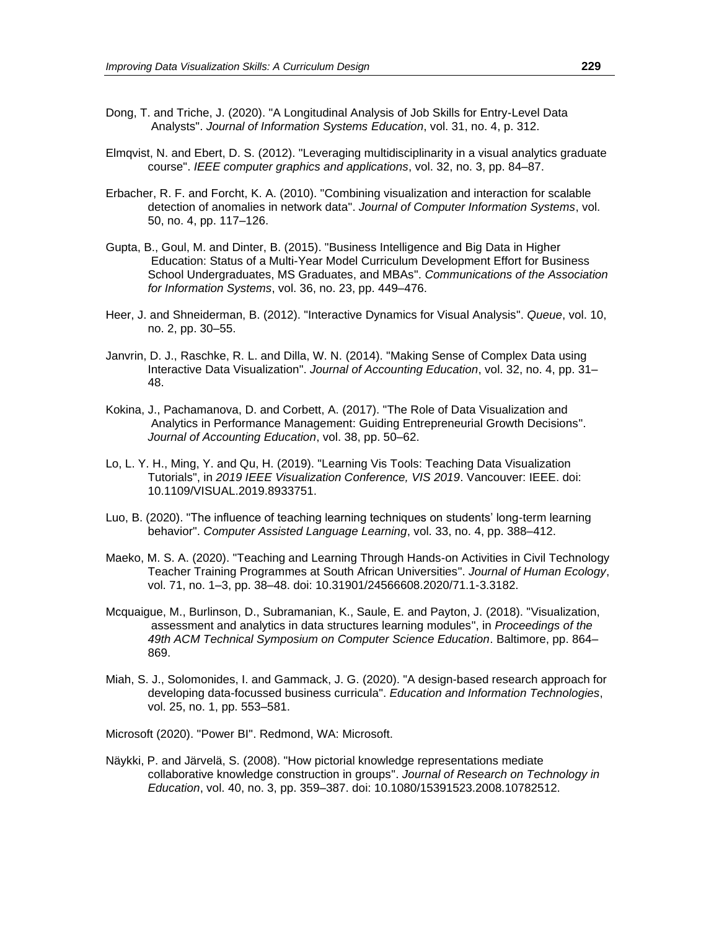- Dong, T. and Triche, J. (2020). "A Longitudinal Analysis of Job Skills for Entry-Level Data Analysts". *Journal of Information Systems Education*, vol. 31, no. 4, p. 312.
- Elmqvist, N. and Ebert, D. S. (2012). "Leveraging multidisciplinarity in a visual analytics graduate course". *IEEE computer graphics and applications*, vol. 32, no. 3, pp. 84–87.
- Erbacher, R. F. and Forcht, K. A. (2010). "Combining visualization and interaction for scalable detection of anomalies in network data". *Journal of Computer Information Systems*, vol. 50, no. 4, pp. 117–126.
- Gupta, B., Goul, M. and Dinter, B. (2015). "Business Intelligence and Big Data in Higher Education: Status of a Multi-Year Model Curriculum Development Effort for Business School Undergraduates, MS Graduates, and MBAs". *Communications of the Association for Information Systems*, vol. 36, no. 23, pp. 449–476.
- Heer, J. and Shneiderman, B. (2012). "Interactive Dynamics for Visual Analysis". *Queue*, vol. 10, no. 2, pp. 30–55.
- Janvrin, D. J., Raschke, R. L. and Dilla, W. N. (2014). "Making Sense of Complex Data using Interactive Data Visualization". *Journal of Accounting Education*, vol. 32, no. 4, pp. 31– 48.
- Kokina, J., Pachamanova, D. and Corbett, A. (2017). "The Role of Data Visualization and Analytics in Performance Management: Guiding Entrepreneurial Growth Decisions". *Journal of Accounting Education*, vol. 38, pp. 50–62.
- Lo, L. Y. H., Ming, Y. and Qu, H. (2019). "Learning Vis Tools: Teaching Data Visualization Tutorials", in *2019 IEEE Visualization Conference, VIS 2019*. Vancouver: IEEE. doi: 10.1109/VISUAL.2019.8933751.
- Luo, B. (2020). "The influence of teaching learning techniques on students' long-term learning behavior". *Computer Assisted Language Learning*, vol. 33, no. 4, pp. 388–412.
- Maeko, M. S. A. (2020). "Teaching and Learning Through Hands-on Activities in Civil Technology Teacher Training Programmes at South African Universities". *Journal of Human Ecology*, vol. 71, no. 1–3, pp. 38–48. doi: 10.31901/24566608.2020/71.1-3.3182.
- Mcquaigue, M., Burlinson, D., Subramanian, K., Saule, E. and Payton, J. (2018). "Visualization, assessment and analytics in data structures learning modules", in *Proceedings of the 49th ACM Technical Symposium on Computer Science Education*. Baltimore, pp. 864– 869.
- Miah, S. J., Solomonides, I. and Gammack, J. G. (2020). "A design-based research approach for developing data-focussed business curricula". *Education and Information Technologies*, vol. 25, no. 1, pp. 553–581.

Microsoft (2020). "Power BI". Redmond, WA: Microsoft.

Näykki, P. and Järvelä, S. (2008). "How pictorial knowledge representations mediate collaborative knowledge construction in groups". *Journal of Research on Technology in Education*, vol. 40, no. 3, pp. 359–387. doi: 10.1080/15391523.2008.10782512.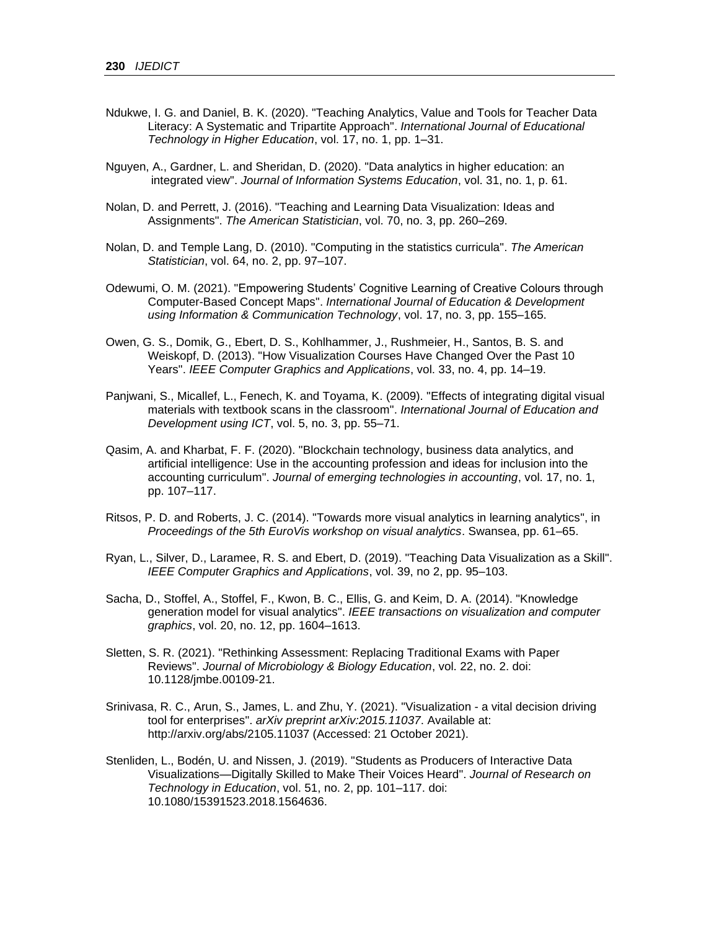- Ndukwe, I. G. and Daniel, B. K. (2020). "Teaching Analytics, Value and Tools for Teacher Data Literacy: A Systematic and Tripartite Approach". *International Journal of Educational Technology in Higher Education*, vol. 17, no. 1, pp. 1–31.
- Nguyen, A., Gardner, L. and Sheridan, D. (2020). "Data analytics in higher education: an integrated view". *Journal of Information Systems Education*, vol. 31, no. 1, p. 61.
- Nolan, D. and Perrett, J. (2016). "Teaching and Learning Data Visualization: Ideas and Assignments". *The American Statistician*, vol. 70, no. 3, pp. 260–269.
- Nolan, D. and Temple Lang, D. (2010). "Computing in the statistics curricula". *The American Statistician*, vol. 64, no. 2, pp. 97–107.
- Odewumi, O. M. (2021). "Empowering Students' Cognitive Learning of Creative Colours through Computer-Based Concept Maps". *International Journal of Education & Development using Information & Communication Technology*, vol. 17, no. 3, pp. 155–165.
- Owen, G. S., Domik, G., Ebert, D. S., Kohlhammer, J., Rushmeier, H., Santos, B. S. and Weiskopf, D. (2013). "How Visualization Courses Have Changed Over the Past 10 Years". *IEEE Computer Graphics and Applications*, vol. 33, no. 4, pp. 14–19.
- Panjwani, S., Micallef, L., Fenech, K. and Toyama, K. (2009). "Effects of integrating digital visual materials with textbook scans in the classroom". *International Journal of Education and Development using ICT*, vol. 5, no. 3, pp. 55–71.
- Qasim, A. and Kharbat, F. F. (2020). "Blockchain technology, business data analytics, and artificial intelligence: Use in the accounting profession and ideas for inclusion into the accounting curriculum". *Journal of emerging technologies in accounting*, vol. 17, no. 1, pp. 107–117.
- Ritsos, P. D. and Roberts, J. C. (2014). "Towards more visual analytics in learning analytics", in *Proceedings of the 5th EuroVis workshop on visual analytics*. Swansea, pp. 61–65.
- Ryan, L., Silver, D., Laramee, R. S. and Ebert, D. (2019). "Teaching Data Visualization as a Skill". *IEEE Computer Graphics and Applications*, vol. 39, no 2, pp. 95–103.
- Sacha, D., Stoffel, A., Stoffel, F., Kwon, B. C., Ellis, G. and Keim, D. A. (2014). "Knowledge generation model for visual analytics". *IEEE transactions on visualization and computer graphics*, vol. 20, no. 12, pp. 1604–1613.
- Sletten, S. R. (2021). "Rethinking Assessment: Replacing Traditional Exams with Paper Reviews". *Journal of Microbiology & Biology Education*, vol. 22, no. 2. doi: 10.1128/jmbe.00109-21.
- Srinivasa, R. C., Arun, S., James, L. and Zhu, Y. (2021). "Visualization a vital decision driving tool for enterprises". *arXiv preprint arXiv:2015.11037*. Available at: http://arxiv.org/abs/2105.11037 (Accessed: 21 October 2021).
- Stenliden, L., Bodén, U. and Nissen, J. (2019). "Students as Producers of Interactive Data Visualizations—Digitally Skilled to Make Their Voices Heard". *Journal of Research on Technology in Education*, vol. 51, no. 2, pp. 101–117. doi: 10.1080/15391523.2018.1564636.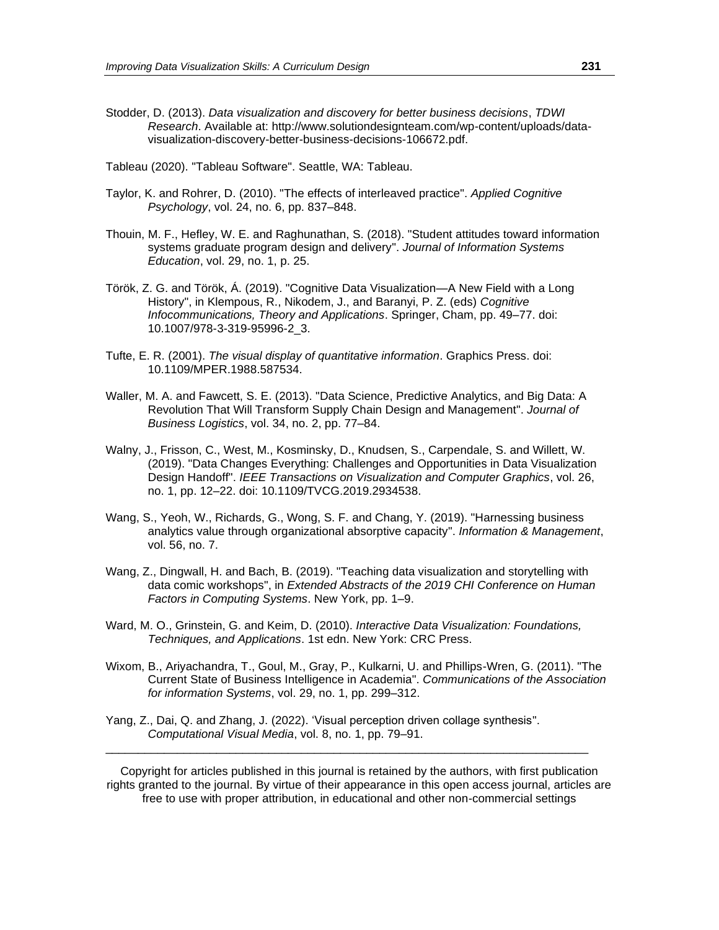- Stodder, D. (2013). *Data visualization and discovery for better business decisions*, *TDWI Research*. Available at: http://www.solutiondesignteam.com/wp-content/uploads/datavisualization-discovery-better-business-decisions-106672.pdf.
- Tableau (2020). "Tableau Software". Seattle, WA: Tableau.
- Taylor, K. and Rohrer, D. (2010). "The effects of interleaved practice". *Applied Cognitive Psychology*, vol. 24, no. 6, pp. 837–848.
- Thouin, M. F., Hefley, W. E. and Raghunathan, S. (2018). "Student attitudes toward information systems graduate program design and delivery". *Journal of Information Systems Education*, vol. 29, no. 1, p. 25.
- Török, Z. G. and Török, Á. (2019). "Cognitive Data Visualization—A New Field with a Long History", in Klempous, R., Nikodem, J., and Baranyi, P. Z. (eds) *Cognitive Infocommunications, Theory and Applications*. Springer, Cham, pp. 49–77. doi: 10.1007/978-3-319-95996-2\_3.
- Tufte, E. R. (2001). *The visual display of quantitative information*. Graphics Press. doi: 10.1109/MPER.1988.587534.
- Waller, M. A. and Fawcett, S. E. (2013). "Data Science, Predictive Analytics, and Big Data: A Revolution That Will Transform Supply Chain Design and Management". *Journal of Business Logistics*, vol. 34, no. 2, pp. 77–84.
- Walny, J., Frisson, C., West, M., Kosminsky, D., Knudsen, S., Carpendale, S. and Willett, W. (2019). "Data Changes Everything: Challenges and Opportunities in Data Visualization Design Handoff". *IEEE Transactions on Visualization and Computer Graphics*, vol. 26, no. 1, pp. 12–22. doi: 10.1109/TVCG.2019.2934538.
- Wang, S., Yeoh, W., Richards, G., Wong, S. F. and Chang, Y. (2019). "Harnessing business analytics value through organizational absorptive capacity". *Information & Management*, vol. 56, no. 7.
- Wang, Z., Dingwall, H. and Bach, B. (2019). "Teaching data visualization and storytelling with data comic workshops", in *Extended Abstracts of the 2019 CHI Conference on Human Factors in Computing Systems*. New York, pp. 1–9.
- Ward, M. O., Grinstein, G. and Keim, D. (2010). *Interactive Data Visualization: Foundations, Techniques, and Applications*. 1st edn. New York: CRC Press.
- Wixom, B., Ariyachandra, T., Goul, M., Gray, P., Kulkarni, U. and Phillips-Wren, G. (2011). "The Current State of Business Intelligence in Academia". *Communications of the Association for information Systems*, vol. 29, no. 1, pp. 299–312.
- Yang, Z., Dai, Q. and Zhang, J. (2022). 'Visual perception driven collage synthesis". *Computational Visual Media*, vol. 8, no. 1, pp. 79–91.

Copyright for articles published in this journal is retained by the authors, with first publication rights granted to the journal. By virtue of their appearance in this open access journal, articles are free to use with proper attribution, in educational and other non-commercial settings

\_\_\_\_\_\_\_\_\_\_\_\_\_\_\_\_\_\_\_\_\_\_\_\_\_\_\_\_\_\_\_\_\_\_\_\_\_\_\_\_\_\_\_\_\_\_\_\_\_\_\_\_\_\_\_\_\_\_\_\_\_\_\_\_\_\_\_\_\_\_\_\_\_\_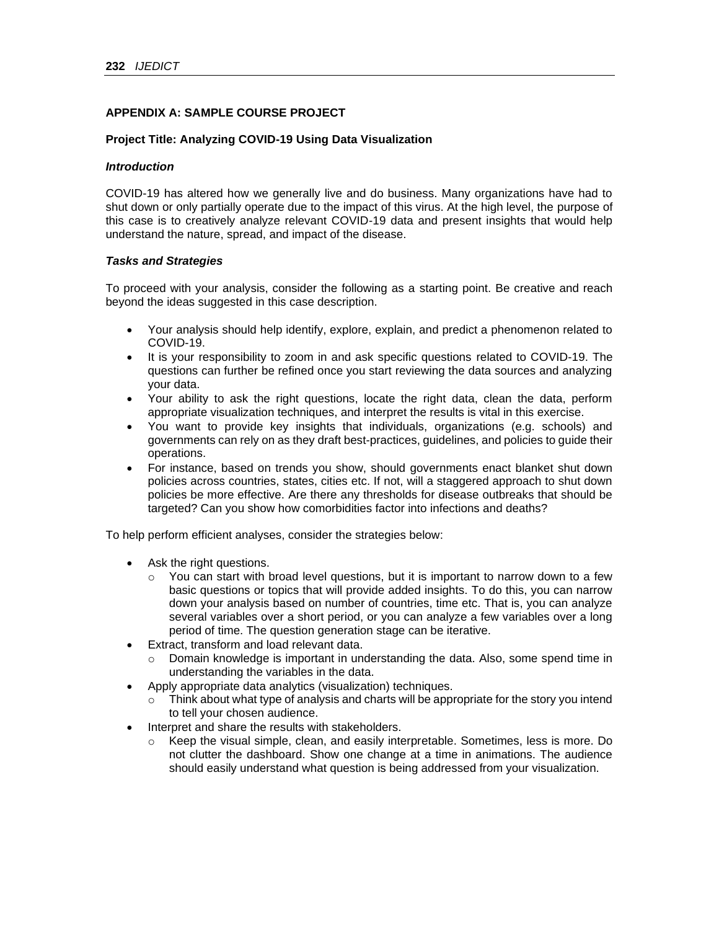## **APPENDIX A: SAMPLE COURSE PROJECT**

### **Project Title: Analyzing COVID-19 Using Data Visualization**

### *Introduction*

COVID-19 has altered how we generally live and do business. Many organizations have had to shut down or only partially operate due to the impact of this virus. At the high level, the purpose of this case is to creatively analyze relevant COVID-19 data and present insights that would help understand the nature, spread, and impact of the disease.

#### *Tasks and Strategies*

To proceed with your analysis, consider the following as a starting point. Be creative and reach beyond the ideas suggested in this case description.

- Your analysis should help identify, explore, explain, and predict a phenomenon related to COVID-19.
- It is your responsibility to zoom in and ask specific questions related to COVID-19. The questions can further be refined once you start reviewing the data sources and analyzing your data.
- Your ability to ask the right questions, locate the right data, clean the data, perform appropriate visualization techniques, and interpret the results is vital in this exercise.
- You want to provide key insights that individuals, organizations (e.g. schools) and governments can rely on as they draft best-practices, guidelines, and policies to guide their operations.
- For instance, based on trends you show, should governments enact blanket shut down policies across countries, states, cities etc. If not, will a staggered approach to shut down policies be more effective. Are there any thresholds for disease outbreaks that should be targeted? Can you show how comorbidities factor into infections and deaths?

To help perform efficient analyses, consider the strategies below:

- Ask the right questions.
	- $\circ$  You can start with broad level questions, but it is important to narrow down to a few basic questions or topics that will provide added insights. To do this, you can narrow down your analysis based on number of countries, time etc. That is, you can analyze several variables over a short period, or you can analyze a few variables over a long period of time. The question generation stage can be iterative.
- Extract, transform and load relevant data.
	- o Domain knowledge is important in understanding the data. Also, some spend time in understanding the variables in the data.
- Apply appropriate data analytics (visualization) techniques.
	- $\circ$  Think about what type of analysis and charts will be appropriate for the story you intend to tell your chosen audience.
- Interpret and share the results with stakeholders.
	- $\circ$  Keep the visual simple, clean, and easily interpretable. Sometimes, less is more. Do not clutter the dashboard. Show one change at a time in animations. The audience should easily understand what question is being addressed from your visualization.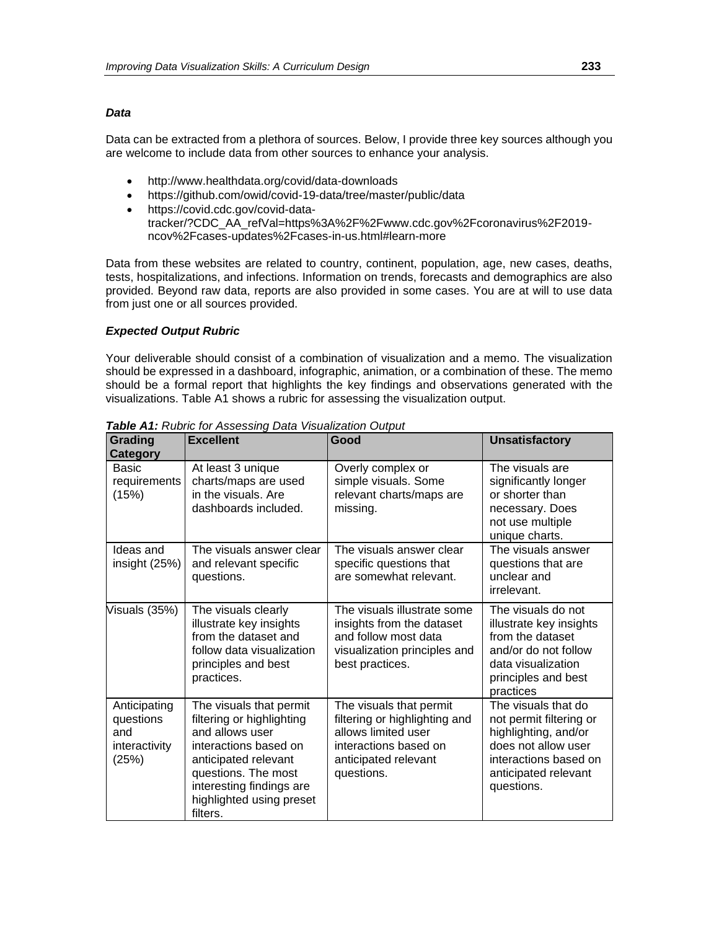#### *Data*

Data can be extracted from a plethora of sources. Below, I provide three key sources although you are welcome to include data from other sources to enhance your analysis.

- http://www.healthdata.org/covid/data-downloads
- https://github.com/owid/covid-19-data/tree/master/public/data
- https://covid.cdc.gov/covid-datatracker/?CDC\_AA\_refVal=https%3A%2F%2Fwww.cdc.gov%2Fcoronavirus%2F2019 ncov%2Fcases-updates%2Fcases-in-us.html#learn-more

Data from these websites are related to country, continent, population, age, new cases, deaths, tests, hospitalizations, and infections. Information on trends, forecasts and demographics are also provided. Beyond raw data, reports are also provided in some cases. You are at will to use data from just one or all sources provided.

### *Expected Output Rubric*

Your deliverable should consist of a combination of visualization and a memo. The visualization should be expressed in a dashboard, infographic, animation, or a combination of these. The memo should be a formal report that highlights the key findings and observations generated with the visualizations. Table A1 shows a rubric for assessing the visualization output.

| <b>Grading</b><br><b>Category</b>                          | <b>Excellent</b>                                                                                                                                                                                                    | Good                                                                                                                                           | <b>Unsatisfactory</b>                                                                                                                                        |
|------------------------------------------------------------|---------------------------------------------------------------------------------------------------------------------------------------------------------------------------------------------------------------------|------------------------------------------------------------------------------------------------------------------------------------------------|--------------------------------------------------------------------------------------------------------------------------------------------------------------|
| Basic<br>requirements<br>(15%)                             | At least 3 unique<br>charts/maps are used<br>in the visuals. Are<br>dashboards included.                                                                                                                            | Overly complex or<br>simple visuals. Some<br>relevant charts/maps are<br>missing.                                                              | The visuals are<br>significantly longer<br>or shorter than<br>necessary. Does<br>not use multiple<br>unique charts.                                          |
| Ideas and<br>insight (25%)                                 | The visuals answer clear<br>and relevant specific<br>questions.                                                                                                                                                     | The visuals answer clear<br>specific questions that<br>are somewhat relevant.                                                                  | The visuals answer<br>questions that are<br>unclear and<br>irrelevant.                                                                                       |
| Visuals (35%)                                              | The visuals clearly<br>illustrate key insights<br>from the dataset and<br>follow data visualization<br>principles and best<br>practices.                                                                            | The visuals illustrate some<br>insights from the dataset<br>and follow most data<br>visualization principles and<br>best practices.            | The visuals do not<br>illustrate key insights<br>from the dataset<br>and/or do not follow<br>data visualization<br>principles and best<br>practices          |
| Anticipating<br>questions<br>and<br>interactivity<br>(25%) | The visuals that permit<br>filtering or highlighting<br>and allows user<br>interactions based on<br>anticipated relevant<br>questions. The most<br>interesting findings are<br>highlighted using preset<br>filters. | The visuals that permit<br>filtering or highlighting and<br>allows limited user<br>interactions based on<br>anticipated relevant<br>questions. | The visuals that do<br>not permit filtering or<br>highlighting, and/or<br>does not allow user<br>interactions based on<br>anticipated relevant<br>questions. |

*Table A1: Rubric for Assessing Data Visualization Output*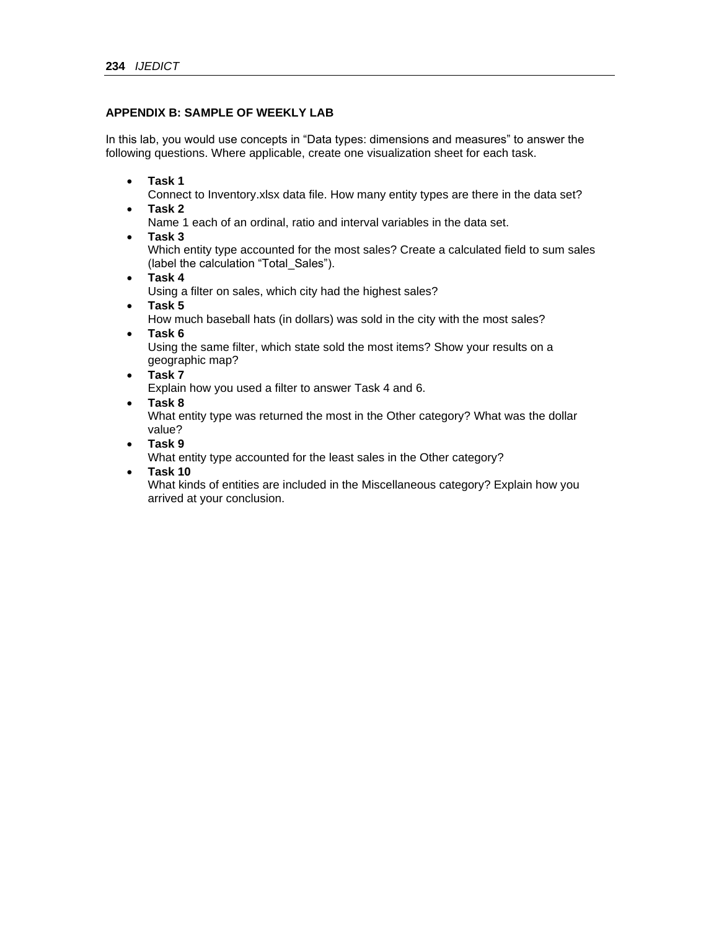### **APPENDIX B: SAMPLE OF WEEKLY LAB**

In this lab, you would use concepts in "Data types: dimensions and measures" to answer the following questions. Where applicable, create one visualization sheet for each task.

• **Task 1**

Connect to Inventory.xlsx data file. How many entity types are there in the data set?

• **Task 2**

Name 1 each of an ordinal, ratio and interval variables in the data set.

• **Task 3**

Which entity type accounted for the most sales? Create a calculated field to sum sales (label the calculation "Total\_Sales").

• **Task 4**

Using a filter on sales, which city had the highest sales?

• **Task 5**

How much baseball hats (in dollars) was sold in the city with the most sales?

• **Task 6**

Using the same filter, which state sold the most items? Show your results on a geographic map?

• **Task 7**

Explain how you used a filter to answer Task 4 and 6.

• **Task 8**

What entity type was returned the most in the Other category? What was the dollar value?

• **Task 9**

What entity type accounted for the least sales in the Other category?

• **Task 10**

What kinds of entities are included in the Miscellaneous category? Explain how you arrived at your conclusion.